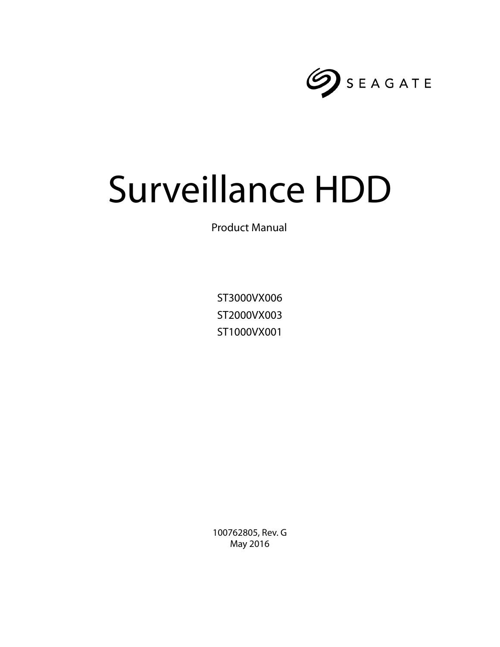

# Surveillance HDD

Product Manual

ST3000VX006 ST2000VX003 ST1000VX001

100762805, Rev. G May 2016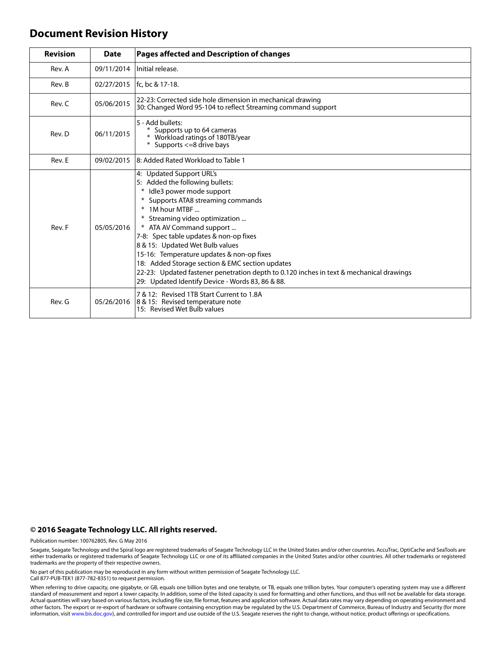#### **Document Revision History**

| <b>Revision</b> | <b>Date</b> | Pages affected and Description of changes                                                                                                                                                                                                                                                                                                                                                                                                                                                                                               |  |
|-----------------|-------------|-----------------------------------------------------------------------------------------------------------------------------------------------------------------------------------------------------------------------------------------------------------------------------------------------------------------------------------------------------------------------------------------------------------------------------------------------------------------------------------------------------------------------------------------|--|
| Rev. A          | 09/11/2014  | Initial release.                                                                                                                                                                                                                                                                                                                                                                                                                                                                                                                        |  |
| Rev. B          |             | 02/27/2015   fc. bc & 17-18.                                                                                                                                                                                                                                                                                                                                                                                                                                                                                                            |  |
| Rev. C          | 05/06/2015  | 22-23: Corrected side hole dimension in mechanical drawing<br>30: Changed Word 95-104 to reflect Streaming command support                                                                                                                                                                                                                                                                                                                                                                                                              |  |
| Rev. D          | 06/11/2015  | 5 - Add bullets:<br>Supports up to 64 cameras<br>* Workload ratings of 180TB/year<br>Supports <= 8 drive bays<br>⋇                                                                                                                                                                                                                                                                                                                                                                                                                      |  |
| Rev. E          | 09/02/2015  | l8: Added Rated Workload to Table 1                                                                                                                                                                                                                                                                                                                                                                                                                                                                                                     |  |
| Rev. F          | 05/05/2016  | 4: Updated Support URL's<br>5: Added the following bullets:<br>* Idle3 power mode support<br>Supports ATA8 streaming commands<br>* 1M hour MTBF<br>Streaming video optimization<br>* ATA AV Command support<br>7-8: Spec table updates & non-op fixes<br>8 & 15: Updated Wet Bulb values<br>15-16: Temperature updates & non-op fixes<br>18: Added Storage section & EMC section updates<br>22-23: Updated fastener penetration depth to 0.120 inches in text & mechanical drawings<br>29: Updated Identify Device - Words 83, 86 & 88. |  |
| Rev. G          | 05/26/2016  | 7 & 12: Revised 1TB Start Current to 1.8A<br>8 & 15: Revised temperature note<br>15: Revised Wet Bulb values                                                                                                                                                                                                                                                                                                                                                                                                                            |  |

#### **© 2016 Seagate Technology LLC. All rights reserved.**

Publication number: 100762805, Rev. G May 2016

Seagate, Seagate Technology and the Spiral logo are registered trademarks of Seagate Technology LLC in the United States and/or other countries. AccuTrac, OptiCache and SeaTools are either trademarks or registered trademarks of Seagate Technology LLC or one of its affiliated companies in the United States and/or other countries. All other trademarks or registered trademarks are the property of their respective owners.

No part of this publication may be reproduced in any form without written permission of Seagate Technology LLC. Call 877-PUB-TEK1 (877-782-8351) to request permission.

When referring to drive capacity, one gigabyte, or GB, equals one billion bytes and one terabyte, or TB, equals one trillion bytes. Your computer's operating system may use a different standard of measurement and report a lower capacity. In addition, some of the listed capacity is used for formatting and other functions, and thus will not be available for data storage.<br>Actual quantities will vary based o other factors. The export or re-export of hardware or software containing encryption may be regulated by the U.S. Department of Commerce, Bureau of Industry and Security (for more information, visit [www.bis.doc.gov\)](http://www.bis.doc.gov), and controlled for import and use outside of the U.S. Seagate reserves the right to change, without notice, product offerings or specifications.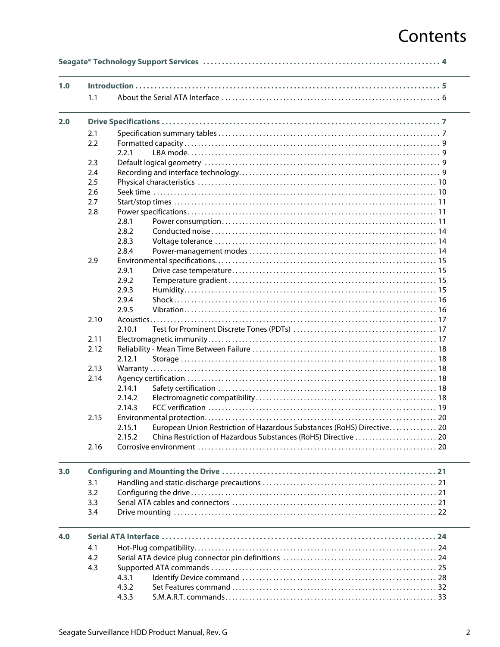# Contents

| 1.0 | 1.1  |                                                                                  |  |  |  |
|-----|------|----------------------------------------------------------------------------------|--|--|--|
|     |      |                                                                                  |  |  |  |
| 2.0 |      |                                                                                  |  |  |  |
|     | 2.1  |                                                                                  |  |  |  |
|     | 2.2  |                                                                                  |  |  |  |
|     |      | 2.2.1                                                                            |  |  |  |
|     | 2.3  |                                                                                  |  |  |  |
|     | 2.4  |                                                                                  |  |  |  |
|     | 2.5  |                                                                                  |  |  |  |
|     | 2.6  |                                                                                  |  |  |  |
|     | 2.7  |                                                                                  |  |  |  |
|     | 2.8  |                                                                                  |  |  |  |
|     |      | 2.8.1                                                                            |  |  |  |
|     |      | 2.8.2                                                                            |  |  |  |
|     |      | 2.8.3                                                                            |  |  |  |
|     |      | 2.8.4                                                                            |  |  |  |
|     | 2.9  |                                                                                  |  |  |  |
|     |      | 2.9.1                                                                            |  |  |  |
|     |      | 2.9.2                                                                            |  |  |  |
|     |      | 2.9.3                                                                            |  |  |  |
|     |      | 2.9.4                                                                            |  |  |  |
|     |      | 2.9.5                                                                            |  |  |  |
|     | 2.10 |                                                                                  |  |  |  |
|     |      | 2.10.1                                                                           |  |  |  |
|     | 2.11 |                                                                                  |  |  |  |
|     | 2.12 |                                                                                  |  |  |  |
|     |      | 2.12.1                                                                           |  |  |  |
|     | 2.13 |                                                                                  |  |  |  |
|     | 2.14 |                                                                                  |  |  |  |
|     |      | 2.14.1                                                                           |  |  |  |
|     |      | 2.14.2                                                                           |  |  |  |
|     |      | 2.14.3                                                                           |  |  |  |
|     | 2.15 |                                                                                  |  |  |  |
|     |      | 2.15.1<br>European Union Restriction of Hazardous Substances (RoHS) Directive 20 |  |  |  |
|     |      | 2.15.2                                                                           |  |  |  |
|     | 2.16 |                                                                                  |  |  |  |
| 3.0 |      |                                                                                  |  |  |  |
|     | 3.1  |                                                                                  |  |  |  |
|     | 3.2  |                                                                                  |  |  |  |
|     | 3.3  |                                                                                  |  |  |  |
|     | 3.4  |                                                                                  |  |  |  |
|     |      |                                                                                  |  |  |  |
| 4.0 |      |                                                                                  |  |  |  |
|     | 4.1  |                                                                                  |  |  |  |
|     | 4.2  |                                                                                  |  |  |  |
|     | 4.3  |                                                                                  |  |  |  |
|     |      |                                                                                  |  |  |  |
|     |      | 4.3.1                                                                            |  |  |  |
|     |      | 4.3.2                                                                            |  |  |  |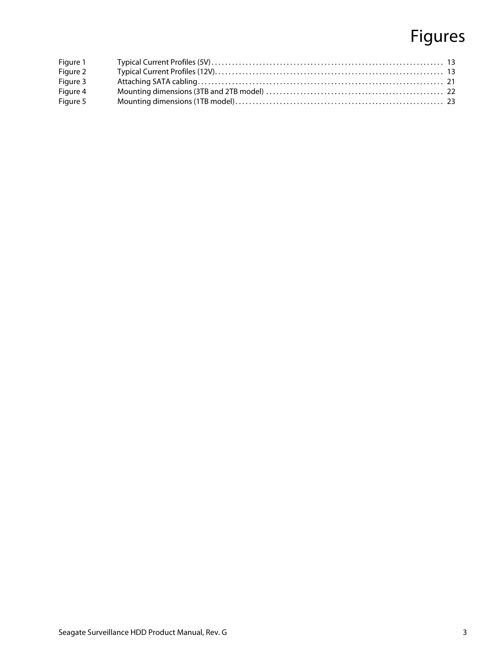# Figures

| Figure 1 |  |
|----------|--|
| Figure 2 |  |
| Figure 3 |  |
| Figure 4 |  |
| Figure 5 |  |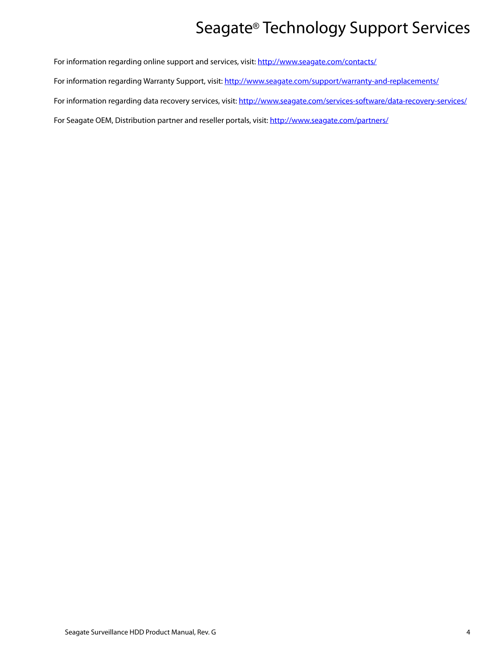# Seagate® Technology Support Services

<span id="page-4-0"></span>For information regarding online support and services, visit: [http://www.sea](http://www.seagate.com/contacts/)gate.com/contacts/ [For information regarding Warranty Support, visit:](http://www.seagate.com/support/warranty-and-replacements/) http://www.seagate.com/support/warranty-and-replacements/ For information regarding data recovery services, visit: [http://www.sea](http://www.seagate.com/services-software/data-recovery-services/)gate.com/services-software/data-recovery-services/ [For Seagate OEM, Distribution partner and reseller portals, visit: h](http://www.seagate.com/partners/)ttp://www.seagate.com/partners/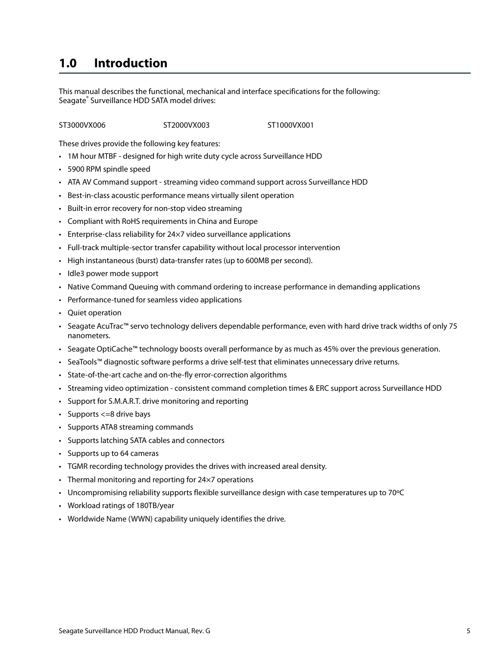### <span id="page-5-0"></span>**1.0 Introduction**

This manual describes the functional, mechanical and interface specifications for the following: Seagate® Surveillance HDD SATA model drives:

ST3000VX006 ST2000VX003 ST1000VX001

These drives provide the following key features:

- 1M hour MTBF designed for high write duty cycle across Surveillance HDD
- 5900 RPM spindle speed
- ATA AV Command support streaming video command support across Surveillance HDD
- Best-in-class acoustic performance means virtually silent operation
- Built-in error recovery for non-stop video streaming
- Compliant with RoHS requirements in China and Europe
- Enterprise-class reliability for 24×7 video surveillance applications
- Full-track multiple-sector transfer capability without local processor intervention
- High instantaneous (burst) data-transfer rates (up to 600MB per second).
- Idle3 power mode support
- Native Command Queuing with command ordering to increase performance in demanding applications
- Performance-tuned for seamless video applications
- Quiet operation
- Seagate AcuTrac™ servo technology delivers dependable performance, even with hard drive track widths of only 75 nanometers.
- Seagate OptiCache™ technology boosts overall performance by as much as 45% over the previous generation.
- SeaTools™ diagnostic software performs a drive self-test that eliminates unnecessary drive returns.
- State-of-the-art cache and on-the-fly error-correction algorithms
- Streaming video optimization consistent command completion times & ERC support across Surveillance HDD
- Support for S.M.A.R.T. drive monitoring and reporting
- Supports <= 8 drive bays
- Supports ATA8 streaming commands
- Supports latching SATA cables and connectors
- Supports up to 64 cameras
- TGMR recording technology provides the drives with increased areal density.
- Thermal monitoring and reporting for 24×7 operations
- Uncompromising reliability supports flexible surveillance design with case temperatures up to 70ºC
- Workload ratings of 180TB/year
- Worldwide Name (WWN) capability uniquely identifies the drive.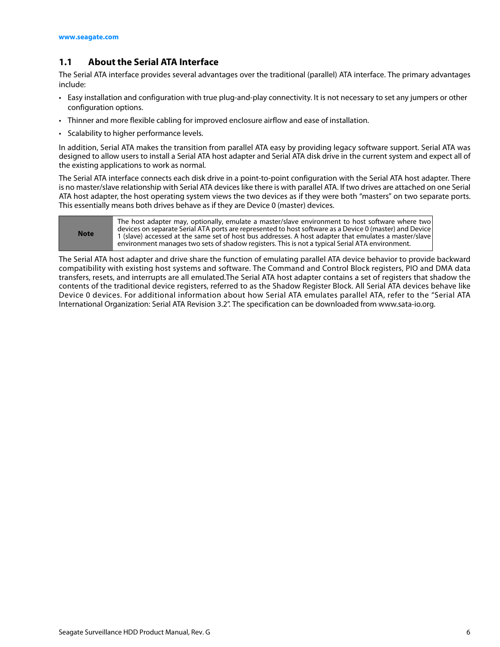#### <span id="page-6-0"></span>**1.1 About the Serial ATA Interface**

The Serial ATA interface provides several advantages over the traditional (parallel) ATA interface. The primary advantages include:

- Easy installation and configuration with true plug-and-play connectivity. It is not necessary to set any jumpers or other configuration options.
- Thinner and more flexible cabling for improved enclosure airflow and ease of installation.
- Scalability to higher performance levels.

In addition, Serial ATA makes the transition from parallel ATA easy by providing legacy software support. Serial ATA was designed to allow users to install a Serial ATA host adapter and Serial ATA disk drive in the current system and expect all of the existing applications to work as normal.

The Serial ATA interface connects each disk drive in a point-to-point configuration with the Serial ATA host adapter. There is no master/slave relationship with Serial ATA devices like there is with parallel ATA. If two drives are attached on one Serial ATA host adapter, the host operating system views the two devices as if they were both "masters" on two separate ports. This essentially means both drives behave as if they are Device 0 (master) devices.

| <b>Note</b> | The host adapter may, optionally, emulate a master/slave environment to host software where two<br>devices on separate Serial ATA ports are represented to host software as a Device 0 (master) and Device<br>1 (slave) accessed at the same set of host bus addresses. A host adapter that emulates a master/slave<br>environment manages two sets of shadow registers. This is not a typical Serial ATA environment. |
|-------------|------------------------------------------------------------------------------------------------------------------------------------------------------------------------------------------------------------------------------------------------------------------------------------------------------------------------------------------------------------------------------------------------------------------------|
|-------------|------------------------------------------------------------------------------------------------------------------------------------------------------------------------------------------------------------------------------------------------------------------------------------------------------------------------------------------------------------------------------------------------------------------------|

The Serial ATA host adapter and drive share the function of emulating parallel ATA device behavior to provide backward compatibility with existing host systems and software. The Command and Control Block registers, PIO and DMA data transfers, resets, and interrupts are all emulated.The Serial ATA host adapter contains a set of registers that shadow the contents of the traditional device registers, referred to as the Shadow Register Block. All Serial ATA devices behave like Device 0 devices. For additional information about how Serial ATA emulates parallel ATA, refer to the "Serial ATA International Organization: Serial ATA Revision 3.2". The specification can be downloaded from www.sata-io.org.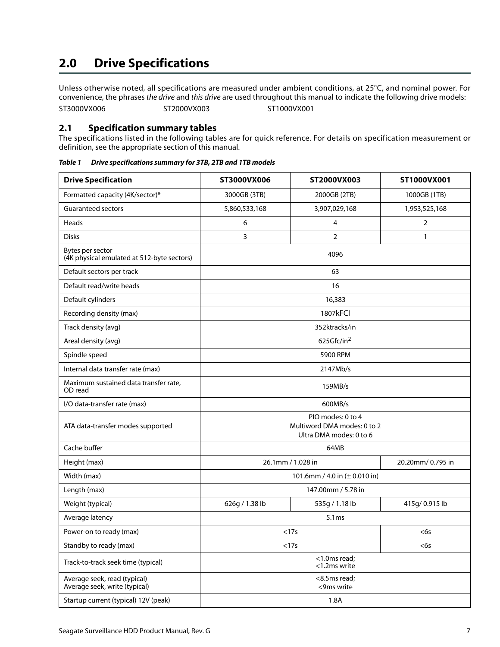## <span id="page-7-0"></span>**2.0 Drive Specifications**

Unless otherwise noted, all specifications are measured under ambient conditions, at 25°C, and nominal power. For convenience, the phrases the drive and this drive are used throughout this manual to indicate the following drive models: ST3000VX006 ST2000VX003 ST1000VX001

#### <span id="page-7-1"></span>**2.1 Specification summary tables**

The specifications listed in the following tables are for quick reference. For details on specification measurement or definition, see the appropriate section of this manual.

| <b>Drive Specification</b>                                     | ST3000VX006                                                                 | ST2000VX003    | ST1000VX001    |  |
|----------------------------------------------------------------|-----------------------------------------------------------------------------|----------------|----------------|--|
| Formatted capacity (4K/sector)*                                | 3000GB (3TB)                                                                | 2000GB (2TB)   | 1000GB (1TB)   |  |
| <b>Guaranteed sectors</b>                                      | 5,860,533,168                                                               | 3,907,029,168  | 1,953,525,168  |  |
| Heads                                                          | 6                                                                           | 4              | 2              |  |
| <b>Disks</b>                                                   | 3                                                                           | $\overline{2}$ | $\mathbf{1}$   |  |
| Bytes per sector<br>(4K physical emulated at 512-byte sectors) | 4096                                                                        |                |                |  |
| Default sectors per track                                      |                                                                             | 63             |                |  |
| Default read/write heads                                       |                                                                             | 16             |                |  |
| Default cylinders                                              |                                                                             | 16,383         |                |  |
| Recording density (max)                                        |                                                                             | 1807kFCI       |                |  |
| Track density (avg)                                            |                                                                             | 352ktracks/in  |                |  |
| Areal density (avg)                                            |                                                                             | 625Gfc/in $^2$ |                |  |
| Spindle speed                                                  | 5900 RPM                                                                    |                |                |  |
| Internal data transfer rate (max)                              | 2147Mb/s                                                                    |                |                |  |
| Maximum sustained data transfer rate,<br>OD read               | 159MB/s                                                                     |                |                |  |
| I/O data-transfer rate (max)                                   |                                                                             | 600MB/s        |                |  |
| ATA data-transfer modes supported                              | PIO modes: 0 to 4<br>Multiword DMA modes: 0 to 2<br>Ultra DMA modes: 0 to 6 |                |                |  |
| Cache buffer                                                   | 64MB                                                                        |                |                |  |
| Height (max)                                                   | 26.1mm / 1.028 in<br>20.20mm/0.795 in                                       |                |                |  |
| Width (max)                                                    | 101.6mm / 4.0 in (± 0.010 in)                                               |                |                |  |
| Length (max)                                                   | 147.00mm / 5.78 in                                                          |                |                |  |
| Weight (typical)                                               | 626g / 1.38 lb                                                              | 535g / 1.18 lb | 415g/ 0.915 lb |  |
| Average latency                                                | 5.1ms                                                                       |                |                |  |
| Power-on to ready (max)                                        | <17s                                                                        |                | <6s            |  |
| Standby to ready (max)                                         | <17s<br>$<$ 6s                                                              |                |                |  |
| Track-to-track seek time (typical)                             | <1.0ms read;<br><1.2ms write                                                |                |                |  |
| Average seek, read (typical)<br>Average seek, write (typical)  | <8.5ms read;<br><9ms write                                                  |                |                |  |
| Startup current (typical) 12V (peak)                           | 1.8A                                                                        |                |                |  |

*Table 1 Drive specifications summary for 3TB, 2TB and 1TB models*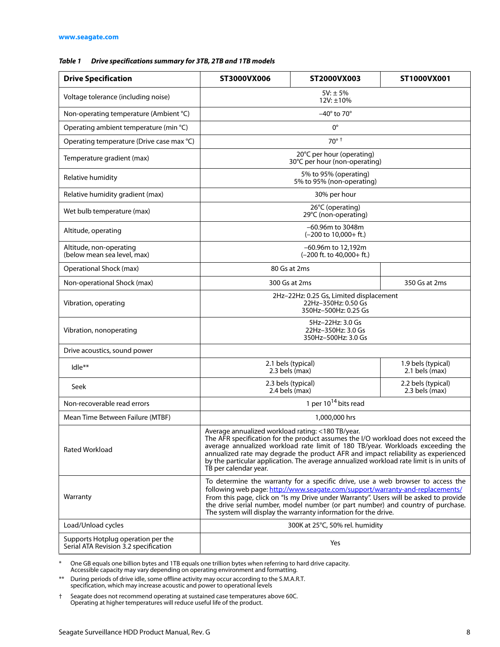#### *Table 1 Drive specifications summary for 3TB, 2TB and 1TB models*

| <b>Drive Specification</b>                                                  | ST3000VX006                                                                                                                                                                                                                                                                                                                                                                                                                         | ST2000VX003                                                  | ST1000VX001                          |  |
|-----------------------------------------------------------------------------|-------------------------------------------------------------------------------------------------------------------------------------------------------------------------------------------------------------------------------------------------------------------------------------------------------------------------------------------------------------------------------------------------------------------------------------|--------------------------------------------------------------|--------------------------------------|--|
| Voltage tolerance (including noise)                                         | $5V: \pm 5%$<br>12V: ±10%                                                                                                                                                                                                                                                                                                                                                                                                           |                                                              |                                      |  |
| Non-operating temperature (Ambient °C)                                      | $-40^\circ$ to 70 $^\circ$                                                                                                                                                                                                                                                                                                                                                                                                          |                                                              |                                      |  |
| Operating ambient temperature (min °C)                                      |                                                                                                                                                                                                                                                                                                                                                                                                                                     | $0^{\circ}$                                                  |                                      |  |
| Operating temperature (Drive case max °C)                                   |                                                                                                                                                                                                                                                                                                                                                                                                                                     | $70^\circ$ <sup>+</sup>                                      |                                      |  |
| Temperature gradient (max)                                                  | 20°C per hour (operating)<br>30°C per hour (non-operating)                                                                                                                                                                                                                                                                                                                                                                          |                                                              |                                      |  |
| Relative humidity                                                           | 5% to 95% (operating)<br>5% to 95% (non-operating)                                                                                                                                                                                                                                                                                                                                                                                  |                                                              |                                      |  |
| Relative humidity gradient (max)                                            |                                                                                                                                                                                                                                                                                                                                                                                                                                     | 30% per hour                                                 |                                      |  |
| Wet bulb temperature (max)                                                  |                                                                                                                                                                                                                                                                                                                                                                                                                                     | 26°C (operating)<br>29°C (non-operating)                     |                                      |  |
| Altitude, operating                                                         |                                                                                                                                                                                                                                                                                                                                                                                                                                     | -60.96m to 3048m<br>$(-200 \text{ to } 10,000 + \text{ft.})$ |                                      |  |
| Altitude, non-operating<br>(below mean sea level, max)                      |                                                                                                                                                                                                                                                                                                                                                                                                                                     | –60.96m to 12,192m<br>$(-200$ ft. to $40,000+$ ft.)          |                                      |  |
| Operational Shock (max)                                                     |                                                                                                                                                                                                                                                                                                                                                                                                                                     | 80 Gs at 2ms                                                 |                                      |  |
| Non-operational Shock (max)                                                 |                                                                                                                                                                                                                                                                                                                                                                                                                                     | 300 Gs at 2ms                                                | 350 Gs at 2ms                        |  |
| Vibration, operating                                                        | 2Hz-22Hz: 0.25 Gs, Limited displacement<br>22Hz-350Hz: 0.50 Gs<br>350Hz-500Hz: 0.25 Gs                                                                                                                                                                                                                                                                                                                                              |                                                              |                                      |  |
| Vibration, nonoperating                                                     | 5Hz-22Hz: 3.0 Gs<br>22Hz-350Hz: 3.0 Gs<br>350Hz-500Hz: 3.0 Gs                                                                                                                                                                                                                                                                                                                                                                       |                                                              |                                      |  |
| Drive acoustics, sound power                                                |                                                                                                                                                                                                                                                                                                                                                                                                                                     |                                                              |                                      |  |
| Idle**                                                                      | 2.1 bels (typical)<br>2.3 bels (max)                                                                                                                                                                                                                                                                                                                                                                                                |                                                              | 1.9 bels (typical)<br>2.1 bels (max) |  |
| Seek                                                                        | 2.3 bels (typical)<br>$2.4$ bels (max)                                                                                                                                                                                                                                                                                                                                                                                              |                                                              | 2.2 bels (typical)<br>2.3 bels (max) |  |
| Non-recoverable read errors                                                 | 1 per $10^{14}$ bits read                                                                                                                                                                                                                                                                                                                                                                                                           |                                                              |                                      |  |
| Mean Time Between Failure (MTBF)                                            | 1,000,000 hrs                                                                                                                                                                                                                                                                                                                                                                                                                       |                                                              |                                      |  |
| <b>Rated Workload</b>                                                       | Average annualized workload rating: <180 TB/year.<br>The AFR specification for the product assumes the I/O workload does not exceed the<br>average annualized workload rate limit of 180 TB/year. Workloads exceeding the<br>annualized rate may degrade the product AFR and impact reliability as experienced<br>by the particular application. The average annualized workload rate limit is in units of<br>TB per calendar year. |                                                              |                                      |  |
| Warranty                                                                    | To determine the warranty for a specific drive, use a web browser to access the<br>following web page: http://www.seagate.com/support/warranty-and-replacements/<br>From this page, click on "Is my Drive under Warranty". Users will be asked to provide<br>the drive serial number, model number (or part number) and country of purchase.<br>The system will display the warranty information for the drive.                     |                                                              |                                      |  |
| Load/Unload cycles                                                          | 300K at 25°C, 50% rel. humidity                                                                                                                                                                                                                                                                                                                                                                                                     |                                                              |                                      |  |
| Supports Hotplug operation per the<br>Serial ATA Revision 3.2 specification | Yes                                                                                                                                                                                                                                                                                                                                                                                                                                 |                                                              |                                      |  |

\* One GB equals one billion bytes and 1TB equals one trillion bytes when referring to hard drive capacity. Accessible capacity may vary depending on operating environment and formatting.

\*\* During periods of drive idle, some offline activity may occur according to the S.M.A.R.T. specification, which may increase acoustic and power to operational levels

† Seagate does not recommend operating at sustained case temperatures above 60C. Operating at higher temperatures will reduce useful life of the product.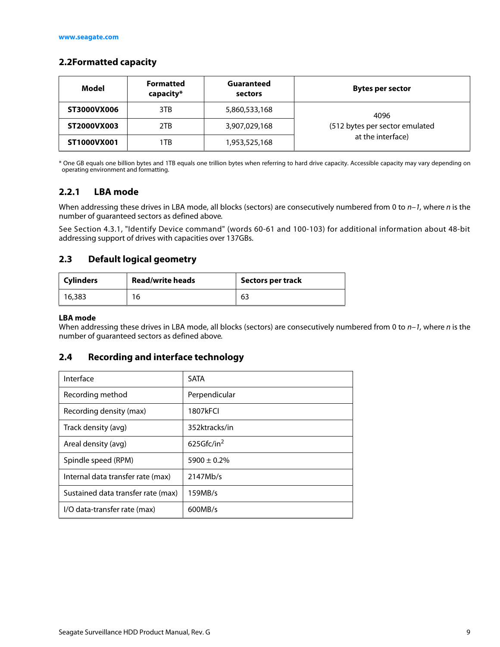#### <span id="page-9-0"></span>**2.2Formatted capacity**

| Model       | <b>Formatted</b><br>capacity* | Guaranteed<br>sectors | Bytes per sector               |
|-------------|-------------------------------|-----------------------|--------------------------------|
| ST3000VX006 | 3TB                           | 5,860,533,168         | 4096                           |
| ST2000VX003 | 2TB                           | 3,907,029,168         | (512 bytes per sector emulated |
| ST1000VX001 | 1TB                           | 1,953,525,168         | at the interface)              |

\* One GB equals one billion bytes and 1TB equals one trillion bytes when referring to hard drive capacity. Accessible capacity may vary depending on operating environment and formatting.

#### <span id="page-9-1"></span>**2.2.1 LBA mode**

When addressing these drives in LBA mode, all blocks (sectors) are consecutively numbered from 0 to  $n-1$ , where n is the number of guaranteed sectors as defined above.

See [Section 4.3.1, "Identify Device command"](#page-28-0) (words 60-61 and 100-103) for additional information about 48-bit addressing support of drives with capacities over 137GBs.

#### <span id="page-9-2"></span>**2.3 Default logical geometry**

| <b>Cylinders</b> | <b>Read/write heads</b> | <b>Sectors per track</b> |
|------------------|-------------------------|--------------------------|
| 16,383           | 16                      | 63                       |

#### **LBA mode**

When addressing these drives in LBA mode, all blocks (sectors) are consecutively numbered from 0 to  $n-1$ , where n is the number of guaranteed sectors as defined above.

#### <span id="page-9-3"></span>**2.4 Recording and interface technology**

| Interface                          | <b>SATA</b>      |
|------------------------------------|------------------|
| Recording method                   | Perpendicular    |
| Recording density (max)            | 1807kFCI         |
| Track density (avg)                | 352ktracks/in    |
| Areal density (avg)                | 625Gfc/in $2$    |
| Spindle speed (RPM)                | $5900 \pm 0.2\%$ |
| Internal data transfer rate (max)  | 2147Mb/s         |
| Sustained data transfer rate (max) | 159MB/s          |
| I/O data-transfer rate (max)       | 600MB/s          |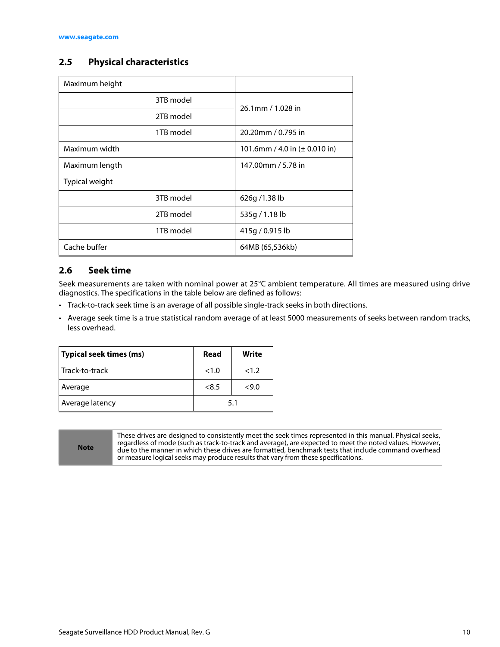#### <span id="page-10-0"></span>**2.5 Physical characteristics**

| Maximum height |                                           |  |
|----------------|-------------------------------------------|--|
| 3TB model      | 26.1mm / 1.028 in                         |  |
| 2TB model      |                                           |  |
| 1TB model      | 20.20mm / 0.795 in                        |  |
| Maximum width  | 101.6mm / 4.0 in $(\pm 0.010 \text{ in})$ |  |
| Maximum length | 147.00mm / 5.78 in                        |  |
| Typical weight |                                           |  |
| 3TB model      | 626g/1.38lb                               |  |
| 2TB model      | 535g / 1.18 lb                            |  |
| 1TB model      | 415g / 0.915 lb                           |  |
| Cache buffer   | 64MB (65,536kb)                           |  |

#### <span id="page-10-1"></span>**2.6 Seek time**

Seek measurements are taken with nominal power at 25°C ambient temperature. All times are measured using drive diagnostics. The specifications in the table below are defined as follows:

- Track-to-track seek time is an average of all possible single-track seeks in both directions.
- Average seek time is a true statistical random average of at least 5000 measurements of seeks between random tracks, less overhead.

| Typical seek times (ms) | Read  | Write |
|-------------------------|-------|-------|
| Track-to-track          | <1.0  | <1.2  |
| Average                 | < 8.5 | <9.0  |
| Average latency         |       | 5.1   |

**Note**

These drives are designed to consistently meet the seek times represented in this manual. Physical seeks, regardless of mode (such as track-to-track and average), are expected to meet the noted values. However, due to the manner in which these drives are formatted, benchmark tests that include command overhead or measure logical seeks may produce results that vary from these specifications.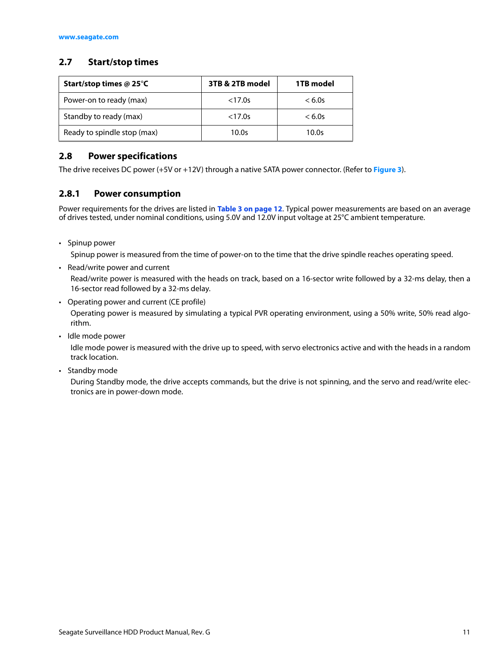#### <span id="page-11-0"></span>**2.7 Start/stop times**

| Start/stop times @ 25 $\degree$ C | 3TB & 2TB model | 1TB model |
|-----------------------------------|-----------------|-----------|
| Power-on to ready (max)           | < 17.0s         | < 6.0s    |
| Standby to ready (max)            | < 17.0s         | < 6.0s    |
| Ready to spindle stop (max)       | 10.0s           | 10.0s     |

#### <span id="page-11-1"></span>**2.8 Power specifications**

The drive receives DC power (+5V or +12V) through a native SATA power connector. (Refer to **[Figure 3](#page-21-4)**).

#### <span id="page-11-2"></span>**2.8.1 Power consumption**

Power requirements for the drives are listed in **[Table 3 on page 12](#page-12-0)**. Typical power measurements are based on an average of drives tested, under nominal conditions, using 5.0V and 12.0V input voltage at 25°C ambient temperature.

• Spinup power

Spinup power is measured from the time of power-on to the time that the drive spindle reaches operating speed.

• Read/write power and current

Read/write power is measured with the heads on track, based on a 16-sector write followed by a 32-ms delay, then a 16-sector read followed by a 32-ms delay.

• Operating power and current (CE profile)

Operating power is measured by simulating a typical PVR operating environment, using a 50% write, 50% read algorithm.

• Idle mode power

Idle mode power is measured with the drive up to speed, with servo electronics active and with the heads in a random track location.

• Standby mode

During Standby mode, the drive accepts commands, but the drive is not spinning, and the servo and read/write electronics are in power-down mode.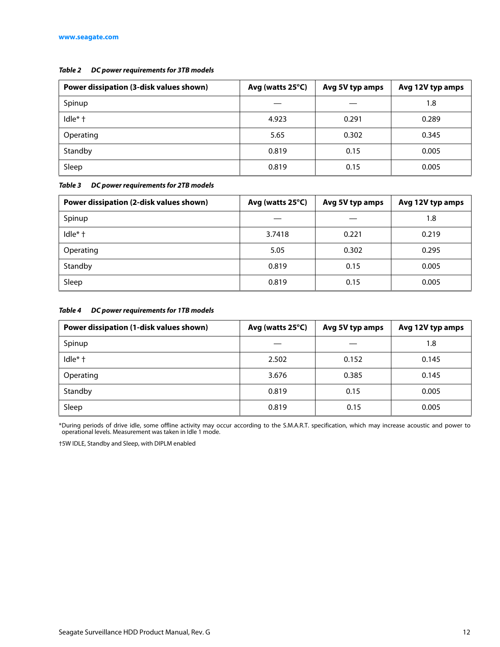#### *Table 2 DC power requirements for 3TB models*

| Power dissipation (3-disk values shown) | Avg (watts 25°C) | Avg 5V typ amps | Avg 12V typ amps |
|-----------------------------------------|------------------|-----------------|------------------|
| Spinup                                  |                  |                 | 1.8              |
| Idle* +                                 | 4.923            | 0.291           | 0.289            |
| Operating                               | 5.65             | 0.302           | 0.345            |
| Standby                                 | 0.819            | 0.15            | 0.005            |
| Sleep                                   | 0.819            | 0.15            | 0.005            |

<span id="page-12-0"></span>*Table 3 DC power requirements for 2TB models*

| Power dissipation (2-disk values shown) | Avg (watts 25°C) | Avg 5V typ amps | Avg 12V typ amps |
|-----------------------------------------|------------------|-----------------|------------------|
| Spinup                                  |                  |                 | 1.8              |
| $I$ dle $*$ †                           | 3.7418           | 0.221           | 0.219            |
| Operating                               | 5.05             | 0.302           | 0.295            |
| Standby                                 | 0.819            | 0.15            | 0.005            |
| Sleep                                   | 0.819            | 0.15            | 0.005            |

#### *Table 4 DC power requirements for 1TB models*

| Power dissipation (1-disk values shown) | Avg (watts 25°C) | Avg 5V typ amps | Avg 12V typ amps |
|-----------------------------------------|------------------|-----------------|------------------|
| Spinup                                  |                  |                 | 1.8              |
| Idle* +                                 | 2.502            | 0.152           | 0.145            |
| Operating                               | 3.676            | 0.385           | 0.145            |
| Standby                                 | 0.819            | 0.15            | 0.005            |
| Sleep                                   | 0.819            | 0.15            | 0.005            |

\*During periods of drive idle, some offline activity may occur according to the S.M.A.R.T. specification, which may increase acoustic and power to operational levels. Measurement was taken in Idle 1 mode.

†5W IDLE, Standby and Sleep, with DIPLM enabled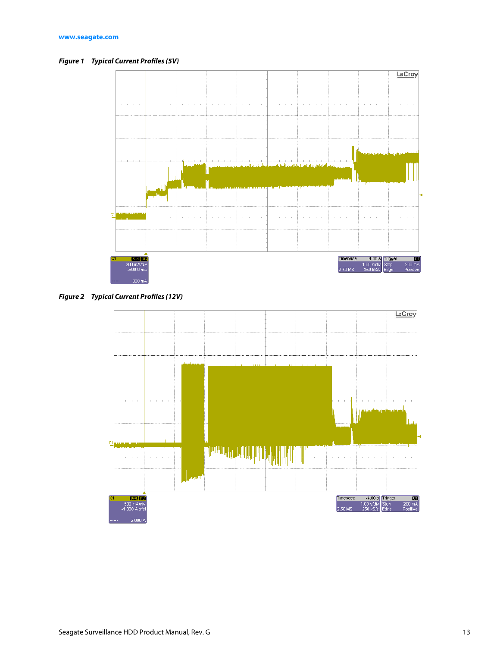<span id="page-13-0"></span>*Figure 1 Typical Current Profiles (5V)*



<span id="page-13-1"></span>*Figure 2 Typical Current Profiles (12V)*

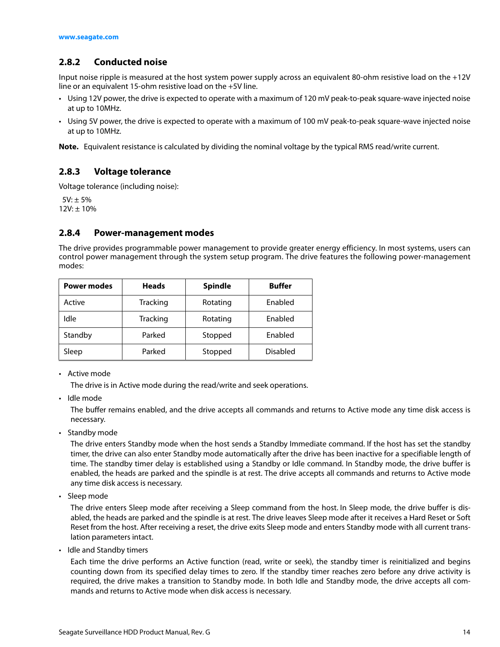#### <span id="page-14-0"></span>**2.8.2 Conducted noise**

Input noise ripple is measured at the host system power supply across an equivalent 80-ohm resistive load on the +12V line or an equivalent 15-ohm resistive load on the +5V line.

- Using 12V power, the drive is expected to operate with a maximum of 120 mV peak-to-peak square-wave injected noise at up to 10MHz.
- Using 5V power, the drive is expected to operate with a maximum of 100 mV peak-to-peak square-wave injected noise at up to 10MHz.

**Note.** Equivalent resistance is calculated by dividing the nominal voltage by the typical RMS read/write current.

#### <span id="page-14-1"></span>**2.8.3 Voltage tolerance**

Voltage tolerance (including noise):

 $5V: \pm 5\%$  $12V: \pm 10\%$ 

#### <span id="page-14-2"></span>**2.8.4 Power-management modes**

The drive provides programmable power management to provide greater energy efficiency. In most systems, users can control power management through the system setup program. The drive features the following power-management modes:

| <b>Power modes</b> | <b>Heads</b>    | <b>Spindle</b> | <b>Buffer</b>   |
|--------------------|-----------------|----------------|-----------------|
| Active             | <b>Tracking</b> | Rotating       | Enabled         |
| Idle               | Tracking        | Rotating       | Enabled         |
| Standby            | Parked          | Stopped        | Enabled         |
| Sleep              | Parked          | Stopped        | <b>Disabled</b> |

• Active mode

The drive is in Active mode during the read/write and seek operations.

• Idle mode

The buffer remains enabled, and the drive accepts all commands and returns to Active mode any time disk access is necessary.

• Standby mode

The drive enters Standby mode when the host sends a Standby Immediate command. If the host has set the standby timer, the drive can also enter Standby mode automatically after the drive has been inactive for a specifiable length of time. The standby timer delay is established using a Standby or Idle command. In Standby mode, the drive buffer is enabled, the heads are parked and the spindle is at rest. The drive accepts all commands and returns to Active mode any time disk access is necessary.

• Sleep mode

The drive enters Sleep mode after receiving a Sleep command from the host. In Sleep mode, the drive buffer is disabled, the heads are parked and the spindle is at rest. The drive leaves Sleep mode after it receives a Hard Reset or Soft Reset from the host. After receiving a reset, the drive exits Sleep mode and enters Standby mode with all current translation parameters intact.

• Idle and Standby timers

Each time the drive performs an Active function (read, write or seek), the standby timer is reinitialized and begins counting down from its specified delay times to zero. If the standby timer reaches zero before any drive activity is required, the drive makes a transition to Standby mode. In both Idle and Standby mode, the drive accepts all commands and returns to Active mode when disk access is necessary.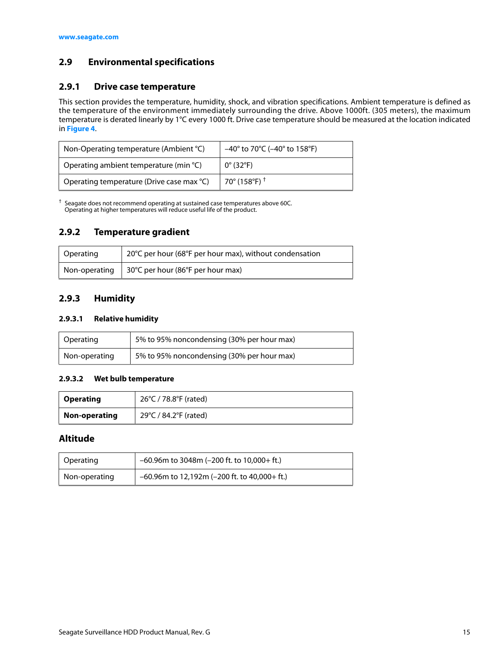#### <span id="page-15-0"></span>**2.9 Environmental specifications**

#### <span id="page-15-1"></span>**2.9.1 Drive case temperature**

This section provides the temperature, humidity, shock, and vibration specifications. Ambient temperature is defined as the temperature of the environment immediately surrounding the drive. Above 1000ft. (305 meters), the maximum temperature is derated linearly by 1°C every 1000 ft. Drive case temperature should be measured at the location indicated in **[Figure 4](#page-22-1)**.

| Non-Operating temperature (Ambient °C)    | $-40^{\circ}$ to 70°C ( $-40^{\circ}$ to 158°F) |  |
|-------------------------------------------|-------------------------------------------------|--|
| Operating ambient temperature (min °C)    | $0^{\circ}$ (32°F)                              |  |
| Operating temperature (Drive case max °C) | 70° (158°F) <sup>†</sup>                        |  |

 $\dagger$  Seagate does not recommend operating at sustained case temperatures above 60C. Operating at higher temperatures will reduce useful life of the product.

#### <span id="page-15-2"></span>**2.9.2 Temperature gradient**

| Operating | 20°C per hour (68°F per hour max), without condensation     |
|-----------|-------------------------------------------------------------|
|           | Non-operating   $30^{\circ}$ C per hour (86°F per hour max) |

#### <span id="page-15-3"></span>**2.9.3 Humidity**

#### **2.9.3.1 Relative humidity**

| Operating     | 5% to 95% noncondensing (30% per hour max) |
|---------------|--------------------------------------------|
| Non-operating | 5% to 95% noncondensing (30% per hour max) |

#### **2.9.3.2 Wet bulb temperature**

| <b>Operating</b> | 26°C / 78.8°F (rated) |
|------------------|-----------------------|
| Non-operating    | 29°C / 84.2°F (rated) |

#### **Altitude**

| Operating     | $-60.96$ m to 3048m (-200 ft. to 10,000+ ft.)   |
|---------------|-------------------------------------------------|
| Non-operating | $-60.96$ m to 12,192m (-200 ft. to 40,000+ ft.) |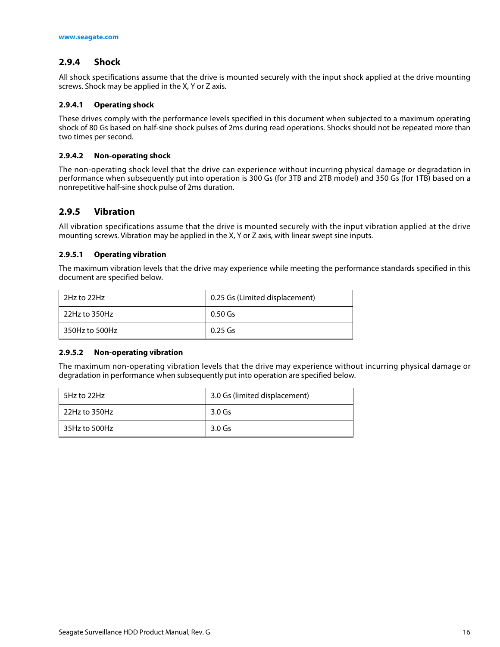#### <span id="page-16-0"></span>**2.9.4 Shock**

All shock specifications assume that the drive is mounted securely with the input shock applied at the drive mounting screws. Shock may be applied in the X, Y or Z axis.

#### **2.9.4.1 Operating shock**

These drives comply with the performance levels specified in this document when subjected to a maximum operating shock of 80 Gs based on half-sine shock pulses of 2ms during read operations. Shocks should not be repeated more than two times per second.

#### **2.9.4.2 Non-operating shock**

The non-operating shock level that the drive can experience without incurring physical damage or degradation in performance when subsequently put into operation is 300 Gs (for 3TB and 2TB model) and 350 Gs (for 1TB) based on a nonrepetitive half-sine shock pulse of 2ms duration.

#### <span id="page-16-1"></span>**2.9.5 Vibration**

All vibration specifications assume that the drive is mounted securely with the input vibration applied at the drive mounting screws. Vibration may be applied in the X, Y or Z axis, with linear swept sine inputs.

#### **2.9.5.1 Operating vibration**

The maximum vibration levels that the drive may experience while meeting the performance standards specified in this document are specified below.

| 2Hz to 22Hz      | 0.25 Gs (Limited displacement) |
|------------------|--------------------------------|
| $22$ Hz to 350Hz | 0.50 Gs                        |
| 350Hz to 500Hz   | 0.25 Gs                        |

#### **2.9.5.2 Non-operating vibration**

The maximum non-operating vibration levels that the drive may experience without incurring physical damage or degradation in performance when subsequently put into operation are specified below.

| 5Hz to 22Hz   | 3.0 Gs (limited displacement) |  |
|---------------|-------------------------------|--|
| 22Hz to 350Hz | 3.0 Gs                        |  |
| 35Hz to 500Hz | 3.0 Gs                        |  |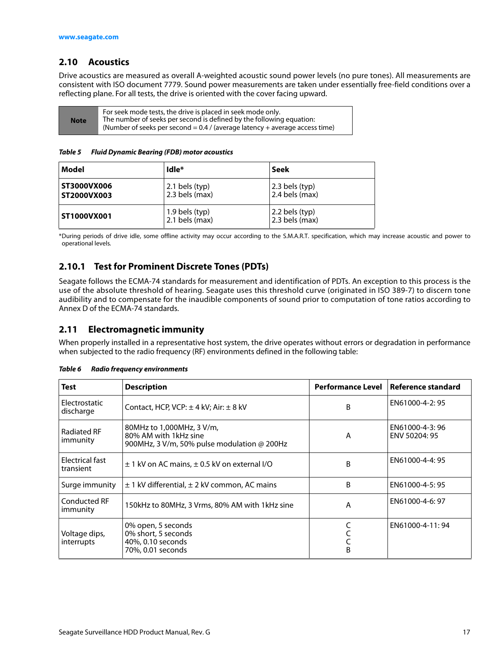#### <span id="page-17-0"></span>**2.10 Acoustics**

Drive acoustics are measured as overall A-weighted acoustic sound power levels (no pure tones). All measurements are consistent with ISO document 7779. Sound power measurements are taken under essentially free-field conditions over a reflecting plane. For all tests, the drive is oriented with the cover facing upward.

| <b>Note</b> | For seek mode tests, the drive is placed in seek mode only.<br>The number of seeks per second is defined by the following equation:<br>(Number of seeks per second = $0.4$ / (average latency + average access time) |
|-------------|----------------------------------------------------------------------------------------------------------------------------------------------------------------------------------------------------------------------|
|-------------|----------------------------------------------------------------------------------------------------------------------------------------------------------------------------------------------------------------------|

*Table 5 Fluid Dynamic Bearing (FDB) motor acoustics*

| Model                      | Idle <sup>*</sup>                  | Seek                               |
|----------------------------|------------------------------------|------------------------------------|
| ST3000VX006<br>ST2000VX003 | $2.1$ bels (typ)<br>2.3 bels (max) | 2.3 bels (typ)<br>2.4 bels (max)   |
| ST1000VX001                | 1.9 bels (typ)<br>$2.1$ bels (max) | 2.2 bels (typ)<br>$2.3$ bels (max) |

\*During periods of drive idle, some offline activity may occur according to the S.M.A.R.T. specification, which may increase acoustic and power to operational levels.

#### <span id="page-17-1"></span>**2.10.1 Test for Prominent Discrete Tones (PDTs)**

Seagate follows the ECMA-74 standards for measurement and identification of PDTs. An exception to this process is the use of the absolute threshold of hearing. Seagate uses this threshold curve (originated in ISO 389-7) to discern tone audibility and to compensate for the inaudible components of sound prior to computation of tone ratios according to Annex D of the ECMA-74 standards.

#### <span id="page-17-2"></span>**2.11 Electromagnetic immunity**

When properly installed in a representative host system, the drive operates without errors or degradation in performance when subjected to the radio frequency (RF) environments defined in the following table:

| <b>Test</b>                     | <b>Description</b>                                                                                |   | Performance Level   Reference standard |
|---------------------------------|---------------------------------------------------------------------------------------------------|---|----------------------------------------|
| Electrostatic<br>discharge      | Contact, HCP, VCP: $\pm$ 4 kV; Air: $\pm$ 8 kV                                                    | B | EN61000-4-2:95                         |
| <b>Radiated RF</b><br>immunity  | 80MHz to 1,000MHz, 3 V/m,<br>80% AM with 1kHz sine<br>900MHz, 3 V/m, 50% pulse modulation @ 200Hz | A | EN61000-4-3:96<br>ENV 50204: 95        |
| Electrical fast<br>transient    | $\pm$ 1 kV on AC mains, $\pm$ 0.5 kV on external I/O                                              | B | EN61000-4-4: 95                        |
| Surge immunity                  | $\pm$ 1 kV differential, $\pm$ 2 kV common, AC mains                                              | B | EN61000-4-5:95                         |
| <b>Conducted RF</b><br>immunity | 150kHz to 80MHz, 3 Vrms, 80% AM with 1kHz sine                                                    | A | EN61000-4-6: 97                        |
| Voltage dips,<br>interrupts     | 0% open, 5 seconds<br>0% short, 5 seconds<br>40%, 0.10 seconds<br>70%, 0.01 seconds               | B | EN61000-4-11:94                        |

*Table 6 Radio frequency environments*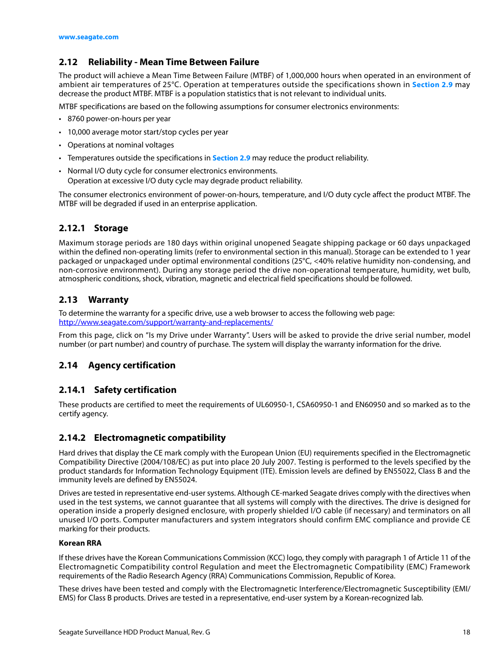#### <span id="page-18-0"></span>**2.12 Reliability - Mean Time Between Failure**

The product will achieve a Mean Time Between Failure (MTBF) of 1,000,000 hours when operated in an environment of ambient air temperatures of 25°C. Operation at temperatures outside the specifications shown in **[Section 2.9](#page-15-0)** may decrease the product MTBF. MTBF is a population statistics that is not relevant to individual units.

MTBF specifications are based on the following assumptions for consumer electronics environments:

- 8760 power-on-hours per year
- 10,000 average motor start/stop cycles per year
- Operations at nominal voltages
- Temperatures outside the specifications in **[Section 2.9](#page-15-0)** may reduce the product reliability.
- Normal I/O duty cycle for consumer electronics environments. Operation at excessive I/O duty cycle may degrade product reliability.

The consumer electronics environment of power-on-hours, temperature, and I/O duty cycle affect the product MTBF. The MTBF will be degraded if used in an enterprise application.

#### <span id="page-18-1"></span>**2.12.1 Storage**

Maximum storage periods are 180 days within original unopened Seagate shipping package or 60 days unpackaged within the defined non-operating limits (refer to environmental section in this manual). Storage can be extended to 1 year packaged or unpackaged under optimal environmental conditions (25°C, <40% relative humidity non-condensing, and non-corrosive environment). During any storage period the drive non-operational temperature, humidity, wet bulb, atmospheric conditions, shock, vibration, magnetic and electrical field specifications should be followed.

#### <span id="page-18-2"></span>**2.13 Warranty**

To determine the warranty for a specific drive, use a web browser to access the following web page: [http://www.seag](http://www.seagate.com/support/warranty-and-replacements/)ate.com/support/warranty-and-replacements/

From this page, click on "Is my Drive under Warranty". Users will be asked to provide the drive serial number, model number (or part number) and country of purchase. The system will display the warranty information for the drive.

#### <span id="page-18-3"></span>**2.14 Agency certification**

#### <span id="page-18-4"></span>**2.14.1 Safety certification**

These products are certified to meet the requirements of UL60950-1, CSA60950-1 and EN60950 and so marked as to the certify agency.

#### <span id="page-18-5"></span>**2.14.2 Electromagnetic compatibility**

Hard drives that display the CE mark comply with the European Union (EU) requirements specified in the Electromagnetic Compatibility Directive (2004/108/EC) as put into place 20 July 2007. Testing is performed to the levels specified by the product standards for Information Technology Equipment (ITE). Emission levels are defined by EN55022, Class B and the immunity levels are defined by EN55024.

Drives are tested in representative end-user systems. Although CE-marked Seagate drives comply with the directives when used in the test systems, we cannot guarantee that all systems will comply with the directives. The drive is designed for operation inside a properly designed enclosure, with properly shielded I/O cable (if necessary) and terminators on all unused I/O ports. Computer manufacturers and system integrators should confirm EMC compliance and provide CE marking for their products.

#### **Korean RRA**

If these drives have the Korean Communications Commission (KCC) logo, they comply with paragraph 1 of Article 11 of the Electromagnetic Compatibility control Regulation and meet the Electromagnetic Compatibility (EMC) Framework requirements of the Radio Research Agency (RRA) Communications Commission, Republic of Korea.

These drives have been tested and comply with the Electromagnetic Interference/Electromagnetic Susceptibility (EMI/ EMS) for Class B products. Drives are tested in a representative, end-user system by a Korean-recognized lab.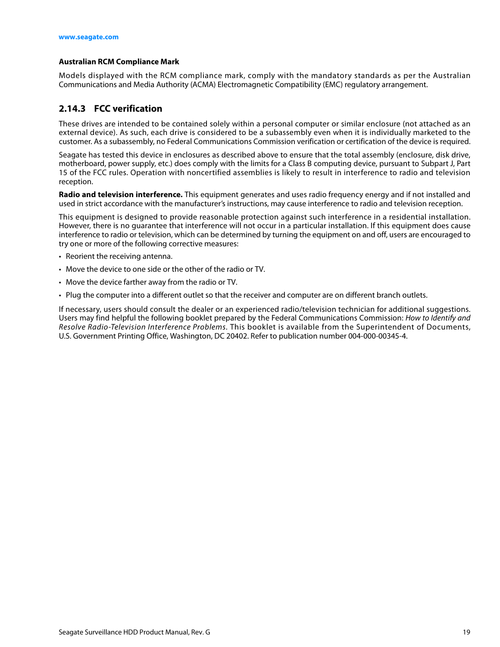#### **Australian RCM Compliance Mark**

Models displayed with the RCM compliance mark, comply with the mandatory standards as per the Australian Communications and Media Authority (ACMA) Electromagnetic Compatibility (EMC) regulatory arrangement.

#### <span id="page-19-0"></span>**2.14.3 FCC verification**

These drives are intended to be contained solely within a personal computer or similar enclosure (not attached as an external device). As such, each drive is considered to be a subassembly even when it is individually marketed to the customer. As a subassembly, no Federal Communications Commission verification or certification of the device is required.

Seagate has tested this device in enclosures as described above to ensure that the total assembly (enclosure, disk drive, motherboard, power supply, etc.) does comply with the limits for a Class B computing device, pursuant to Subpart J, Part 15 of the FCC rules. Operation with noncertified assemblies is likely to result in interference to radio and television reception.

**Radio and television interference.** This equipment generates and uses radio frequency energy and if not installed and used in strict accordance with the manufacturer's instructions, may cause interference to radio and television reception.

This equipment is designed to provide reasonable protection against such interference in a residential installation. However, there is no guarantee that interference will not occur in a particular installation. If this equipment does cause interference to radio or television, which can be determined by turning the equipment on and off, users are encouraged to try one or more of the following corrective measures:

- Reorient the receiving antenna.
- Move the device to one side or the other of the radio or TV.
- Move the device farther away from the radio or TV.
- Plug the computer into a different outlet so that the receiver and computer are on different branch outlets.

If necessary, users should consult the dealer or an experienced radio/television technician for additional suggestions. Users may find helpful the following booklet prepared by the Federal Communications Commission: How to Identify and Resolve Radio-Television Interference Problems. This booklet is available from the Superintendent of Documents, U.S. Government Printing Office, Washington, DC 20402. Refer to publication number 004-000-00345-4.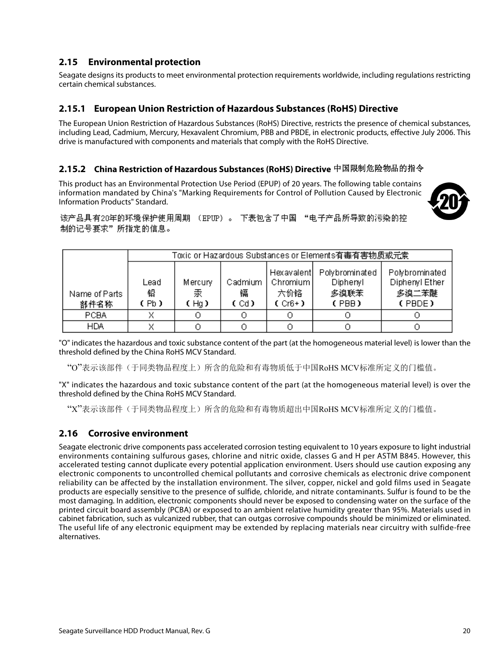#### <span id="page-20-0"></span>**2.15 Environmental protection**

Seagate designs its products to meet environmental protection requirements worldwide, including regulations restricting certain chemical substances.

#### <span id="page-20-1"></span>**2.15.1 European Union Restriction of Hazardous Substances (RoHS) Directive**

The European Union Restriction of Hazardous Substances (RoHS) Directive, restricts the presence of chemical substances, including Lead, Cadmium, Mercury, Hexavalent Chromium, PBB and PBDE, in electronic products, effective July 2006. This drive is manufactured with components and materials that comply with the RoHS Directive.

#### <span id="page-20-2"></span>**2.15.2 China Restriction of Hazardous Substances (RoHS) Directive**  中国限制危险物品的指令

This product has an Environmental Protection Use Period (EPUP) of 20 years. The following table contains information mandated by China's "Marking Requirements for Control of Pollution Caused by Electronic Information Products" Standard.



该产品具有20年的环境保护使用周期 (EPIIP)。 下表包含了中国 "电子产品所导致的污染的控 制的记号要求"所指定的信息。

|                       | Toxic or Hazardous Substances or Elements有毒有害物质或元素 |                      |                      |                                             |                                             |                                                     |
|-----------------------|----------------------------------------------------|----------------------|----------------------|---------------------------------------------|---------------------------------------------|-----------------------------------------------------|
| Name of Parts<br>部件名称 | Lead<br>铅<br>(Pb)                                  | Mercury<br>汞<br>(Hg) | Cadmium<br>镉<br>(Cd) | Hexavalent<br>Chromium  <br>六价铬<br>$(Cr6+)$ | Polybrominated<br>Diphenyl<br>多溴联苯<br>(PBB) | Polybrominated<br>Diphenyl Ether<br>多溴二苯醚<br>(PBDE) |
| PCBA                  |                                                    |                      |                      |                                             |                                             |                                                     |
| <b>HDA</b>            |                                                    |                      |                      |                                             |                                             |                                                     |

"O" indicates the hazardous and toxic substance content of the part (at the homogeneous material level) is lower than the threshold defined by the China RoHS MCV Standard.

"O"表示该部件(于同类物品程度上)所含的危险和有毒物质低于中国RoHS MCV标准所定义的门槛值。

"X" indicates the hazardous and toxic substance content of the part (at the homogeneous material level) is over the threshold defined by the China RoHS MCV Standard.

"X"表示该部件(于同类物品程度上)所含的危险和有毒物质超出中国RoHS MCV标准所定义的门槛值。

#### <span id="page-20-3"></span>**2.16 Corrosive environment**

Seagate electronic drive components pass accelerated corrosion testing equivalent to 10 years exposure to light industrial environments containing sulfurous gases, chlorine and nitric oxide, classes G and H per ASTM B845. However, this accelerated testing cannot duplicate every potential application environment. Users should use caution exposing any electronic components to uncontrolled chemical pollutants and corrosive chemicals as electronic drive component reliability can be affected by the installation environment. The silver, copper, nickel and gold films used in Seagate products are especially sensitive to the presence of sulfide, chloride, and nitrate contaminants. Sulfur is found to be the most damaging. In addition, electronic components should never be exposed to condensing water on the surface of the printed circuit board assembly (PCBA) or exposed to an ambient relative humidity greater than 95%. Materials used in cabinet fabrication, such as vulcanized rubber, that can outgas corrosive compounds should be minimized or eliminated. The useful life of any electronic equipment may be extended by replacing materials near circuitry with sulfide-free alternatives.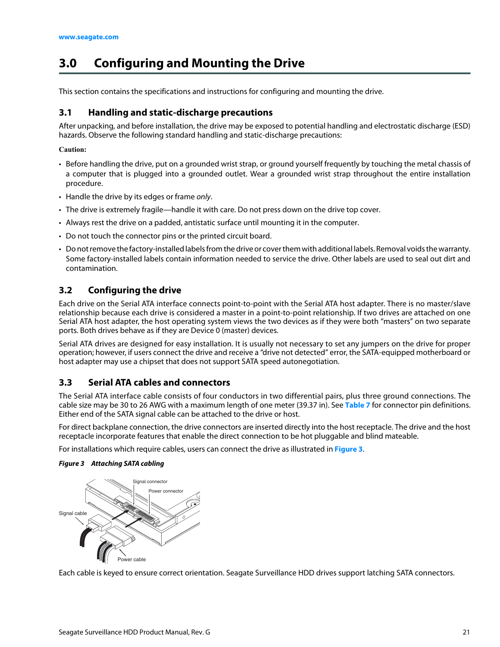## <span id="page-21-0"></span>**3.0 Configuring and Mounting the Drive**

This section contains the specifications and instructions for configuring and mounting the drive.

#### <span id="page-21-1"></span>**3.1 Handling and static-discharge precautions**

After unpacking, and before installation, the drive may be exposed to potential handling and electrostatic discharge (ESD) hazards. Observe the following standard handling and static-discharge precautions:

#### **Caution:**

- Before handling the drive, put on a grounded wrist strap, or ground yourself frequently by touching the metal chassis of a computer that is plugged into a grounded outlet. Wear a grounded wrist strap throughout the entire installation procedure.
- Handle the drive by its edges or frame only.
- The drive is extremely fragile—handle it with care. Do not press down on the drive top cover.
- Always rest the drive on a padded, antistatic surface until mounting it in the computer.
- Do not touch the connector pins or the printed circuit board.
- Do not remove the factory-installed labels from the drive or cover them with additional labels. Removal voids the warranty. Some factory-installed labels contain information needed to service the drive. Other labels are used to seal out dirt and contamination.

#### <span id="page-21-2"></span>**3.2 Configuring the drive**

Each drive on the Serial ATA interface connects point-to-point with the Serial ATA host adapter. There is no master/slave relationship because each drive is considered a master in a point-to-point relationship. If two drives are attached on one Serial ATA host adapter, the host operating system views the two devices as if they were both "masters" on two separate ports. Both drives behave as if they are Device 0 (master) devices.

Serial ATA drives are designed for easy installation. It is usually not necessary to set any jumpers on the drive for proper operation; however, if users connect the drive and receive a "drive not detected" error, the SATA-equipped motherboard or host adapter may use a chipset that does not support SATA speed autonegotiation.

#### <span id="page-21-3"></span>**3.3 Serial ATA cables and connectors**

The Serial ATA interface cable consists of four conductors in two differential pairs, plus three ground connections. The cable size may be 30 to 26 AWG with a maximum length of one meter (39.37 in). See **Table 7** for connector pin definitions. Either end of the SATA signal cable can be attached to the drive or host.

For direct backplane connection, the drive connectors are inserted directly into the host receptacle. The drive and the host receptacle incorporate features that enable the direct connection to be hot pluggable and blind mateable.

For installations which require cables, users can connect the drive as illustrated in **[Figure 3](#page-21-4)**.

#### <span id="page-21-4"></span>*Figure 3 Attaching SATA cabling*



Each cable is keyed to ensure correct orientation. Seagate Surveillance HDD drives support latching SATA connectors.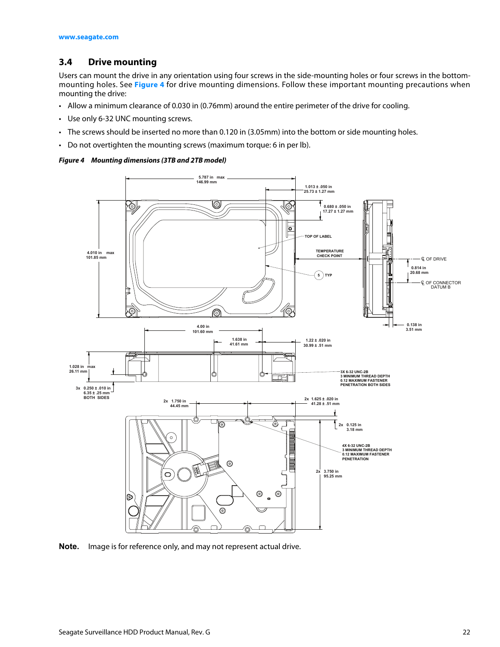#### <span id="page-22-0"></span>**3.4 Drive mounting**

Users can mount the drive in any orientation using four screws in the side-mounting holes or four screws in the bottommounting holes. See **[Figure 4](#page-22-1)** for drive mounting dimensions. Follow these important mounting precautions when mounting the drive:

- Allow a minimum clearance of 0.030 in (0.76mm) around the entire perimeter of the drive for cooling.
- Use only 6-32 UNC mounting screws.
- The screws should be inserted no more than 0.120 in (3.05mm) into the bottom or side mounting holes.
- Do not overtighten the mounting screws (maximum torque: 6 in per lb).

#### <span id="page-22-1"></span>*Figure 4 Mounting dimensions (3TB and 2TB model)*



**Note.** Image is for reference only, and may not represent actual drive.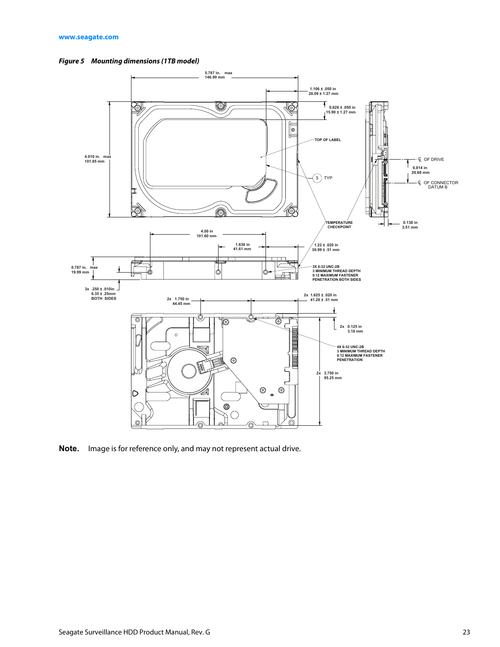<span id="page-23-0"></span>



**Note.** Image is for reference only, and may not represent actual drive.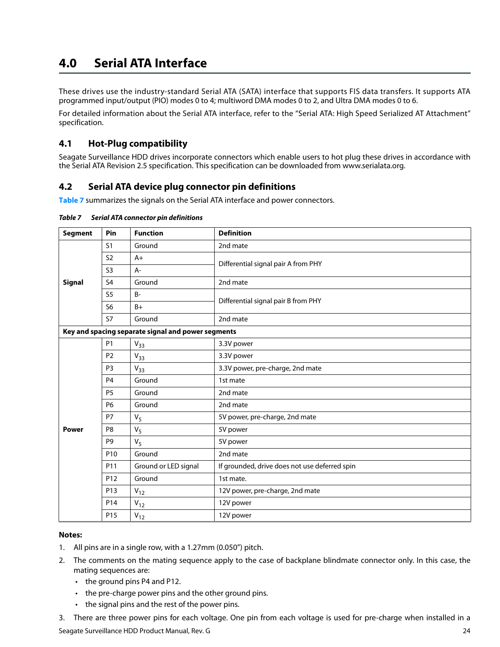## <span id="page-24-0"></span>**4.0 Serial ATA Interface**

These drives use the industry-standard Serial ATA (SATA) interface that supports FIS data transfers. It supports ATA programmed input/output (PIO) modes 0 to 4; multiword DMA modes 0 to 2, and Ultra DMA modes 0 to 6.

For detailed information about the Serial ATA interface, refer to the "Serial ATA: High Speed Serialized AT Attachment" specification.

#### <span id="page-24-1"></span>**4.1 Hot-Plug compatibility**

Seagate Surveillance HDD drives incorporate connectors which enable users to hot plug these drives in accordance with the Serial ATA Revision 2.5 specification. This specification can be downloaded from www.serialata.org.

#### <span id="page-24-2"></span>**4.2 Serial ATA device plug connector pin definitions**

**Table 7** summarizes the signals on the Serial ATA interface and power connectors.

| <b>Segment</b> | Pin             | <b>Function</b>                                    | <b>Definition</b>                             |  |
|----------------|-----------------|----------------------------------------------------|-----------------------------------------------|--|
|                | S <sub>1</sub>  | Ground                                             | 2nd mate                                      |  |
|                | S <sub>2</sub>  | $A+$                                               | Differential signal pair A from PHY           |  |
|                | S <sub>3</sub>  | $A-$                                               |                                               |  |
| <b>Signal</b>  | S <sub>4</sub>  | Ground                                             | 2nd mate                                      |  |
|                | S <sub>5</sub>  | $B -$                                              | Differential signal pair B from PHY           |  |
|                | S <sub>6</sub>  | $B+$                                               |                                               |  |
|                | <b>S7</b>       | Ground                                             | 2nd mate                                      |  |
|                |                 | Key and spacing separate signal and power segments |                                               |  |
|                | <b>P1</b>       | $V_{33}$                                           | 3.3V power                                    |  |
|                | P <sub>2</sub>  | $V_{33}$                                           | 3.3V power                                    |  |
|                | P <sub>3</sub>  | $V_{33}$                                           | 3.3V power, pre-charge, 2nd mate              |  |
|                | P <sub>4</sub>  | Ground                                             | 1st mate                                      |  |
|                | <b>P5</b>       | Ground                                             | 2nd mate                                      |  |
|                | <b>P6</b>       | Ground                                             | 2nd mate                                      |  |
|                | <b>P7</b>       | $V_5$                                              | 5V power, pre-charge, 2nd mate                |  |
| <b>Power</b>   | P <sub>8</sub>  | $V_5$                                              | 5V power                                      |  |
|                | P <sub>9</sub>  | $V_5$                                              | 5V power                                      |  |
|                | P <sub>10</sub> | Ground                                             | 2nd mate                                      |  |
|                | P11             | Ground or LED signal                               | If grounded, drive does not use deferred spin |  |
|                | P <sub>12</sub> | Ground                                             | 1st mate.                                     |  |
|                | P <sub>13</sub> | $V_{12}$                                           | 12V power, pre-charge, 2nd mate               |  |
|                | P <sub>14</sub> | $V_{12}$                                           | 12V power                                     |  |
|                | P <sub>15</sub> | $V_{12}$                                           | 12V power                                     |  |

#### **Notes:**

- 1. All pins are in a single row, with a 1.27mm (0.050") pitch.
- 2. The comments on the mating sequence apply to the case of backplane blindmate connector only. In this case, the mating sequences are:
	- the ground pins P4 and P12.
	- the pre-charge power pins and the other ground pins.
	- the signal pins and the rest of the power pins.
- 3. There are three power pins for each voltage. One pin from each voltage is used for pre-charge when installed in a

Seagate Surveillance HDD Product Manual, Rev. G 24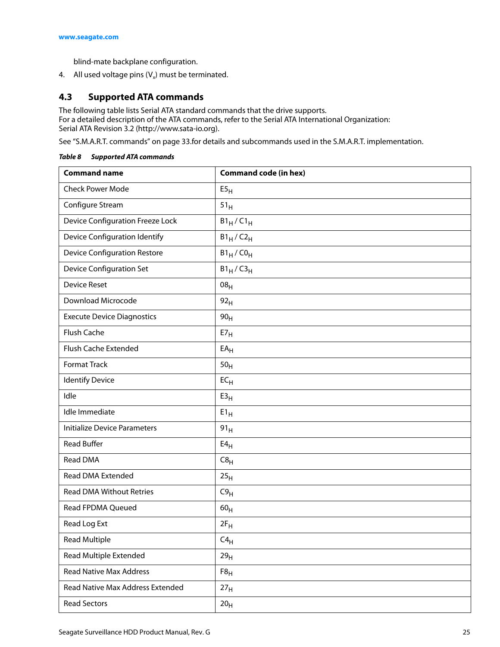blind-mate backplane configuration.

4. All used voltage pins  $(V_x)$  must be terminated.

#### <span id="page-25-0"></span>**4.3 Supported ATA commands**

The following table lists Serial ATA standard commands that the drive supports. For a detailed description of the ATA commands, refer to the Serial ATA International Organization: Serial ATA Revision 3.2 (http://www.sata-io.org).

[See "S.M.A.R.T. commands" on page 33.f](#page-33-0)or details and subcommands used in the S.M.A.R.T. implementation.

| <b>Command name</b>                     | <b>Command code (in hex)</b> |
|-----------------------------------------|------------------------------|
| <b>Check Power Mode</b>                 | E5 <sub>H</sub>              |
| Configure Stream                        | 51 <sub>H</sub>              |
| <b>Device Configuration Freeze Lock</b> | $B1_H/C1_H$                  |
| Device Configuration Identify           | $B1_H/C2_H$                  |
| <b>Device Configuration Restore</b>     | $B1_H$ / $CO_H$              |
| <b>Device Configuration Set</b>         | $B1_H/C3_H$                  |
| <b>Device Reset</b>                     | 08 <sub>H</sub>              |
| Download Microcode                      | 92 <sub>H</sub>              |
| <b>Execute Device Diagnostics</b>       | 90 <sub>H</sub>              |
| Flush Cache                             | E7 <sub>H</sub>              |
| Flush Cache Extended                    | $EA_H$                       |
| <b>Format Track</b>                     | 50 <sub>H</sub>              |
| <b>Identify Device</b>                  | $EC_{H}$                     |
| Idle                                    | E3 <sub>H</sub>              |
| Idle Immediate                          | $E1_H$                       |
| <b>Initialize Device Parameters</b>     | 91 <sub>H</sub>              |
| <b>Read Buffer</b>                      | E4 <sub>H</sub>              |
| <b>Read DMA</b>                         | C8 <sub>H</sub>              |
| Read DMA Extended                       | 25 <sub>H</sub>              |
| <b>Read DMA Without Retries</b>         | C9 <sub>H</sub>              |
| <b>Read FPDMA Queued</b>                | 60 <sub>H</sub>              |
| Read Log Ext                            | $2F_H$                       |
| <b>Read Multiple</b>                    | $C4_H$                       |
| <b>Read Multiple Extended</b>           | 29 <sub>H</sub>              |
| <b>Read Native Max Address</b>          | $F8_H$                       |
| Read Native Max Address Extended        | 27 <sub>H</sub>              |
| <b>Read Sectors</b>                     | 20 <sub>H</sub>              |

#### *Table 8 Supported ATA commands*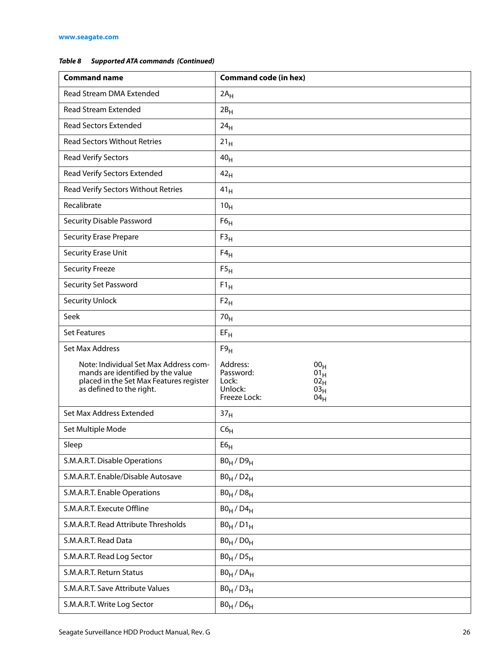#### *Table 8 Supported ATA commands (Continued)*

| <b>Command name</b>                                                                                                                               | <b>Command code (in hex)</b>                                                                                                           |
|---------------------------------------------------------------------------------------------------------------------------------------------------|----------------------------------------------------------------------------------------------------------------------------------------|
| Read Stream DMA Extended                                                                                                                          | $2A_H$                                                                                                                                 |
| <b>Read Stream Extended</b>                                                                                                                       | 2B <sub>H</sub>                                                                                                                        |
| <b>Read Sectors Extended</b>                                                                                                                      | 24 <sub>H</sub>                                                                                                                        |
| <b>Read Sectors Without Retries</b>                                                                                                               | 21 <sub>H</sub>                                                                                                                        |
| <b>Read Verify Sectors</b>                                                                                                                        | 40 <sub>H</sub>                                                                                                                        |
| Read Verify Sectors Extended                                                                                                                      | 42 <sub>H</sub>                                                                                                                        |
| Read Verify Sectors Without Retries                                                                                                               | 41 <sub>H</sub>                                                                                                                        |
| Recalibrate                                                                                                                                       | 10 <sub>H</sub>                                                                                                                        |
| Security Disable Password                                                                                                                         | F6 <sub>H</sub>                                                                                                                        |
| <b>Security Erase Prepare</b>                                                                                                                     | F3 <sub>H</sub>                                                                                                                        |
| Security Erase Unit                                                                                                                               | $F4_H$                                                                                                                                 |
| <b>Security Freeze</b>                                                                                                                            | F5 <sub>H</sub>                                                                                                                        |
| Security Set Password                                                                                                                             | $F1_H$                                                                                                                                 |
| <b>Security Unlock</b>                                                                                                                            | $F2_H$                                                                                                                                 |
| Seek                                                                                                                                              | 70 <sub>H</sub>                                                                                                                        |
| <b>Set Features</b>                                                                                                                               | $EF_H$                                                                                                                                 |
| Set Max Address                                                                                                                                   | F9 <sub>H</sub>                                                                                                                        |
| Note: Individual Set Max Address com-<br>mands are identified by the value<br>placed in the Set Max Features register<br>as defined to the right. | Address:<br>00 <sub>H</sub><br>Password:<br>$01_H$<br>Lock:<br>02 <sub>H</sub><br>Unlock:<br>03 <sub>H</sub><br>Freeze Lock:<br>$04_H$ |
| Set Max Address Extended                                                                                                                          | 37 <sub>H</sub>                                                                                                                        |
| Set Multiple Mode                                                                                                                                 | $C6_H$                                                                                                                                 |
| Sleep                                                                                                                                             | E6 <sub>H</sub>                                                                                                                        |
| S.M.A.R.T. Disable Operations                                                                                                                     | $B0_H / D9_H$                                                                                                                          |
| S.M.A.R.T. Enable/Disable Autosave                                                                                                                | $B0_H / D2_H$                                                                                                                          |
| S.M.A.R.T. Enable Operations                                                                                                                      | $B0_H / D8_H$                                                                                                                          |
| S.M.A.R.T. Execute Offline                                                                                                                        | $B0_H$ / $D4_H$                                                                                                                        |
| S.M.A.R.T. Read Attribute Thresholds                                                                                                              | $B0_H / D1_H$                                                                                                                          |
| S.M.A.R.T. Read Data                                                                                                                              | $B0_H / D0_H$                                                                                                                          |
| S.M.A.R.T. Read Log Sector                                                                                                                        | $B0_H / D5_H$                                                                                                                          |
| S.M.A.R.T. Return Status                                                                                                                          | $B0_H$ / $DA_H$                                                                                                                        |
| S.M.A.R.T. Save Attribute Values                                                                                                                  | $B0_H / D3_H$                                                                                                                          |
| S.M.A.R.T. Write Log Sector                                                                                                                       | $B0_H$ / $D6_H$                                                                                                                        |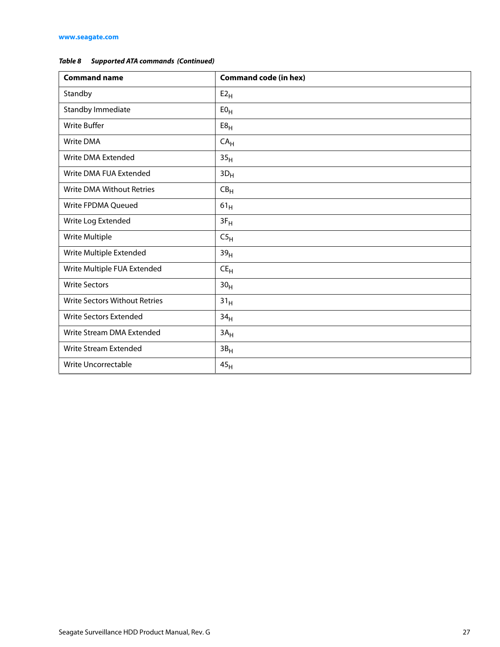#### *Table 8 Supported ATA commands (Continued)*

| <b>Command name</b>                  | <b>Command code (in hex)</b> |
|--------------------------------------|------------------------------|
| Standby                              | $E2_H$                       |
| Standby Immediate                    | E0 <sub>H</sub>              |
| <b>Write Buffer</b>                  | E8 <sub>H</sub>              |
| Write DMA                            | CA <sub>H</sub>              |
| Write DMA Extended                   | 35 <sub>H</sub>              |
| Write DMA FUA Extended               | $3D_H$                       |
| <b>Write DMA Without Retries</b>     | CB <sub>H</sub>              |
| Write FPDMA Queued                   | $61_H$                       |
| Write Log Extended                   | $3F_H$                       |
| Write Multiple                       | C5 <sub>H</sub>              |
| Write Multiple Extended              | 39 <sub>H</sub>              |
| Write Multiple FUA Extended          | $CE_{H}$                     |
| <b>Write Sectors</b>                 | 30 <sub>H</sub>              |
| <b>Write Sectors Without Retries</b> | 31 <sub>H</sub>              |
| <b>Write Sectors Extended</b>        | 34 <sub>H</sub>              |
| Write Stream DMA Extended            | 3A <sub>H</sub>              |
| Write Stream Extended                | $3B_H$                       |
| Write Uncorrectable                  | 45 <sub>H</sub>              |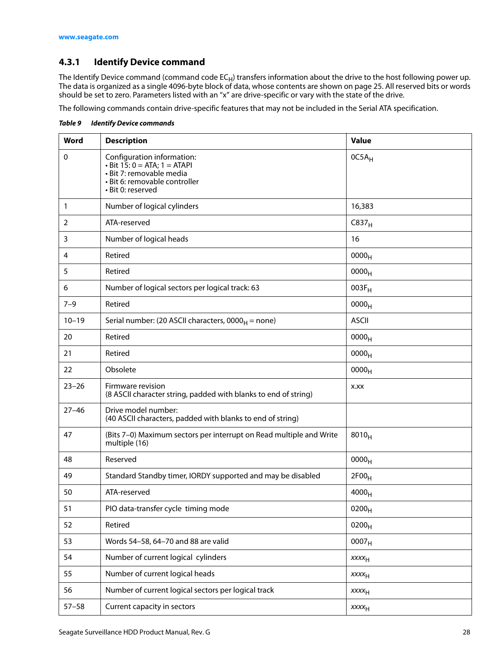#### <span id="page-28-0"></span>**4.3.1 Identify Device command**

The Identify Device command (command code EC<sub>H</sub>) transfers information about the drive to the host following power up. The data is organized as a single 4096-byte block of data, whose contents are shown on page 25. All reserved bits or words should be set to zero. Parameters listed with an "x" are drive-specific or vary with the state of the drive.

The following commands contain drive-specific features that may not be included in the Serial ATA specification.

| Word      | <b>Description</b>                                                                                                                                 | <b>Value</b>      |
|-----------|----------------------------------------------------------------------------------------------------------------------------------------------------|-------------------|
| 0         | Configuration information:<br>$\cdot$ Bit 15: 0 = ATA; 1 = ATAPI<br>· Bit 7: removable media<br>· Bit 6: removable controller<br>· Bit 0: reserved | $OC5A_H$          |
| 1         | Number of logical cylinders                                                                                                                        | 16,383            |
| 2         | ATA-reserved                                                                                                                                       | C837 <sub>H</sub> |
| 3         | Number of logical heads                                                                                                                            | 16                |
| 4         | Retired                                                                                                                                            | 0000 <sub>H</sub> |
| 5         | Retired                                                                                                                                            | 0000 <sub>H</sub> |
| 6         | Number of logical sectors per logical track: 63                                                                                                    | $003F_H$          |
| $7 - 9$   | Retired                                                                                                                                            | 0000 <sub>H</sub> |
| $10 - 19$ | Serial number: (20 ASCII characters, $0000_H$ = none)                                                                                              | <b>ASCII</b>      |
| 20        | Retired                                                                                                                                            | 0000 <sub>H</sub> |
| 21        | Retired                                                                                                                                            | 0000 <sub>H</sub> |
| 22        | Obsolete                                                                                                                                           | 0000 <sub>H</sub> |
| $23 - 26$ | Firmware revision<br>(8 ASCII character string, padded with blanks to end of string)                                                               | X.XX              |
| $27 - 46$ | Drive model number:<br>(40 ASCII characters, padded with blanks to end of string)                                                                  |                   |
| 47        | (Bits 7-0) Maximum sectors per interrupt on Read multiple and Write<br>multiple (16)                                                               | $8010_H$          |
| 48        | Reserved                                                                                                                                           | 0000 <sub>H</sub> |
| 49        | Standard Standby timer, IORDY supported and may be disabled                                                                                        | 2F00 <sub>H</sub> |
| 50        | ATA-reserved                                                                                                                                       | 4000 <sub>H</sub> |
| 51        | PIO data-transfer cycle timing mode                                                                                                                | 0200 <sub>H</sub> |
| 52        | Retired                                                                                                                                            | $0200_H$          |
| 53        | Words 54-58, 64-70 and 88 are valid                                                                                                                | 0007 <sub>H</sub> |
| 54        | Number of current logical cylinders                                                                                                                | XXXH              |
| 55        | Number of current logical heads                                                                                                                    | $xxxx_{H}$        |
| 56        | Number of current logical sectors per logical track                                                                                                | XXXH              |
| $57 - 58$ | Current capacity in sectors                                                                                                                        | XXXH              |

*Table 9 Identify Device commands*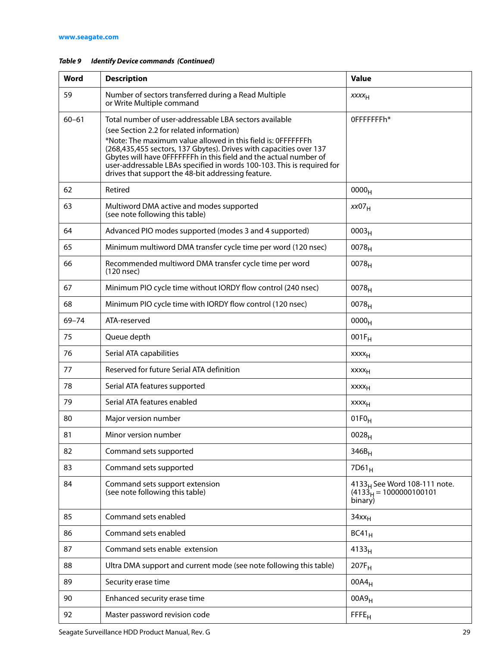| Word      | <b>Description</b>                                                                                                                                                                                                                                                                                                                                                                                                                             | <b>Value</b>                                                                     |
|-----------|------------------------------------------------------------------------------------------------------------------------------------------------------------------------------------------------------------------------------------------------------------------------------------------------------------------------------------------------------------------------------------------------------------------------------------------------|----------------------------------------------------------------------------------|
| 59        | Number of sectors transferred during a Read Multiple<br>or Write Multiple command                                                                                                                                                                                                                                                                                                                                                              | XXXH                                                                             |
| $60 - 61$ | Total number of user-addressable LBA sectors available<br>(see Section 2.2 for related information)<br>*Note: The maximum value allowed in this field is: 0FFFFFFFh<br>(268,435,455 sectors, 137 Gbytes). Drives with capacities over 137<br>Gbytes will have OFFFFFFFh in this field and the actual number of<br>user-addressable LBAs specified in words 100-103. This is required for<br>drives that support the 48-bit addressing feature. | OFFFFFFFh*                                                                       |
| 62        | Retired                                                                                                                                                                                                                                                                                                                                                                                                                                        | 0000 <sub>H</sub>                                                                |
| 63        | Multiword DMA active and modes supported<br>(see note following this table)                                                                                                                                                                                                                                                                                                                                                                    | xx07 <sub>H</sub>                                                                |
| 64        | Advanced PIO modes supported (modes 3 and 4 supported)                                                                                                                                                                                                                                                                                                                                                                                         | 0003 <sub>H</sub>                                                                |
| 65        | Minimum multiword DMA transfer cycle time per word (120 nsec)                                                                                                                                                                                                                                                                                                                                                                                  | 0078 <sub>H</sub>                                                                |
| 66        | Recommended multiword DMA transfer cycle time per word<br>(120 nsec)                                                                                                                                                                                                                                                                                                                                                                           | 0078 <sub>H</sub>                                                                |
| 67        | Minimum PIO cycle time without IORDY flow control (240 nsec)                                                                                                                                                                                                                                                                                                                                                                                   | 0078 <sub>H</sub>                                                                |
| 68        | Minimum PIO cycle time with IORDY flow control (120 nsec)                                                                                                                                                                                                                                                                                                                                                                                      | 0078 <sub>H</sub>                                                                |
| $69 - 74$ | ATA-reserved                                                                                                                                                                                                                                                                                                                                                                                                                                   | 0000 <sub>H</sub>                                                                |
| 75        | Queue depth                                                                                                                                                                                                                                                                                                                                                                                                                                    | $001F_H$                                                                         |
| 76        | Serial ATA capabilities                                                                                                                                                                                                                                                                                                                                                                                                                        | xxxx <sub>H</sub>                                                                |
| 77        | Reserved for future Serial ATA definition                                                                                                                                                                                                                                                                                                                                                                                                      | XXXH                                                                             |
| 78        | Serial ATA features supported                                                                                                                                                                                                                                                                                                                                                                                                                  | XXXH                                                                             |
| 79        | Serial ATA features enabled                                                                                                                                                                                                                                                                                                                                                                                                                    | XXXH                                                                             |
| 80        | Major version number                                                                                                                                                                                                                                                                                                                                                                                                                           | $01F0_H$                                                                         |
| 81        | Minor version number                                                                                                                                                                                                                                                                                                                                                                                                                           | 0028 <sub>H</sub>                                                                |
| 82        | Command sets supported                                                                                                                                                                                                                                                                                                                                                                                                                         | $346B_H$                                                                         |
| 83        | Command sets supported                                                                                                                                                                                                                                                                                                                                                                                                                         | $7D61_H$                                                                         |
| 84        | Command sets support extension<br>(see note following this table)                                                                                                                                                                                                                                                                                                                                                                              | 4133 <sub>H</sub> See Word 108-111 note.<br>$(4133)H = 1000000100101$<br>binary) |
| 85        | Command sets enabled                                                                                                                                                                                                                                                                                                                                                                                                                           | $34xx_H$                                                                         |
| 86        | Command sets enabled                                                                                                                                                                                                                                                                                                                                                                                                                           | $BC41_H$                                                                         |
| 87        | Command sets enable extension                                                                                                                                                                                                                                                                                                                                                                                                                  | 4133 <sub>H</sub>                                                                |
| 88        | Ultra DMA support and current mode (see note following this table)                                                                                                                                                                                                                                                                                                                                                                             | $207F_H$                                                                         |
| 89        | Security erase time                                                                                                                                                                                                                                                                                                                                                                                                                            | $00A4_H$                                                                         |
| 90        | Enhanced security erase time                                                                                                                                                                                                                                                                                                                                                                                                                   | 00A9 <sub>H</sub>                                                                |
| 92        | Master password revision code                                                                                                                                                                                                                                                                                                                                                                                                                  | FFE <sub>H</sub>                                                                 |

#### *Table 9 Identify Device commands (Continued)*

Seagate Surveillance HDD Product Manual, Rev. G 29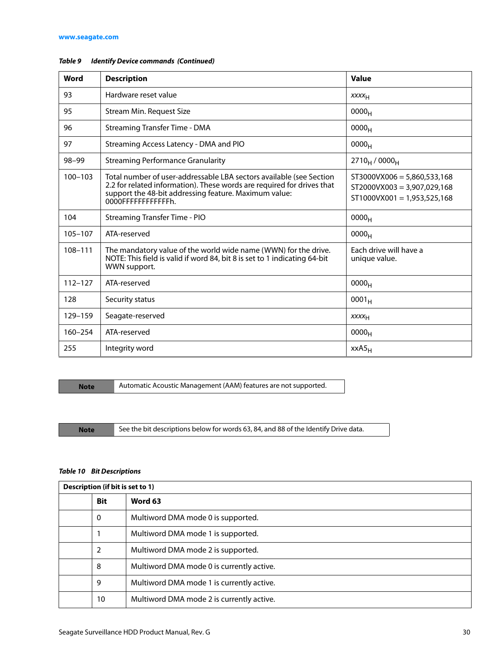| Word        | <b>Description</b>                                                                                                                                                                                                            | Value                                                                                           |
|-------------|-------------------------------------------------------------------------------------------------------------------------------------------------------------------------------------------------------------------------------|-------------------------------------------------------------------------------------------------|
| 93          | Hardware reset value                                                                                                                                                                                                          | XXXH                                                                                            |
| 95          | Stream Min. Request Size                                                                                                                                                                                                      | 0000 <sub>H</sub>                                                                               |
| 96          | <b>Streaming Transfer Time - DMA</b>                                                                                                                                                                                          | 0000 <sub>H</sub>                                                                               |
| 97          | Streaming Access Latency - DMA and PIO                                                                                                                                                                                        | 0000 <sub>H</sub>                                                                               |
| 98-99       | <b>Streaming Performance Granularity</b>                                                                                                                                                                                      | $2710_H / 0000_H$                                                                               |
| $100 - 103$ | Total number of user-addressable LBA sectors available (see Section<br>2.2 for related information). These words are required for drives that<br>support the 48-bit addressing feature. Maximum value:<br>0000FFFFFFFFFFFFFh. | $ST3000VX006 = 5,860,533,168$<br>$ST2000VX003 = 3,907,029,168$<br>$ST1000VX001 = 1,953,525,168$ |
| 104         | <b>Streaming Transfer Time - PIO</b>                                                                                                                                                                                          | 0000 <sub>H</sub>                                                                               |
| $105 - 107$ | ATA-reserved                                                                                                                                                                                                                  | 0000 <sub>H</sub>                                                                               |
| 108-111     | The mandatory value of the world wide name (WWN) for the drive.<br>NOTE: This field is valid if word 84, bit 8 is set to 1 indicating 64-bit<br>WWN support.                                                                  | Fach drive will have a<br>unique value.                                                         |
| $112 - 127$ | ATA-reserved                                                                                                                                                                                                                  | 0000 <sub>H</sub>                                                                               |
| 128         | Security status                                                                                                                                                                                                               | $0001_H$                                                                                        |
| 129-159     | Seagate-reserved                                                                                                                                                                                                              | XXXH                                                                                            |
| 160-254     | ATA-reserved                                                                                                                                                                                                                  | 0000 <sub>H</sub>                                                                               |
| 255         | Integrity word                                                                                                                                                                                                                | $XXAS_H$                                                                                        |

#### *Table 9 Identify Device commands (Continued)*

**Note** Automatic Acoustic Management (AAM) features are not supported.

Note See the bit descriptions below for words 63, 84, and 88 of the Identify Drive data.

#### *Table 10 Bit Descriptions*

| Description (if bit is set to 1) |                                           |  |
|----------------------------------|-------------------------------------------|--|
| <b>Bit</b>                       | Word 63                                   |  |
| $\Omega$                         | Multiword DMA mode 0 is supported.        |  |
|                                  | Multiword DMA mode 1 is supported.        |  |
| 2                                | Multiword DMA mode 2 is supported.        |  |
| 8                                | Multiword DMA mode 0 is currently active. |  |
| 9                                | Multiword DMA mode 1 is currently active. |  |
| 10                               | Multiword DMA mode 2 is currently active. |  |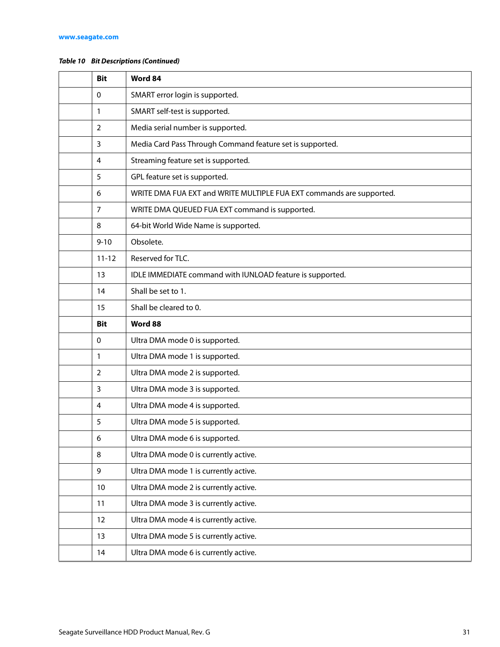#### *Table 10 Bit Descriptions (Continued)*

| <b>Bit</b>     | Word 84                                                              |  |
|----------------|----------------------------------------------------------------------|--|
| 0              | SMART error login is supported.                                      |  |
| 1              | SMART self-test is supported.                                        |  |
| $\overline{2}$ | Media serial number is supported.                                    |  |
| 3              | Media Card Pass Through Command feature set is supported.            |  |
| 4              | Streaming feature set is supported.                                  |  |
| 5              | GPL feature set is supported.                                        |  |
| 6              | WRITE DMA FUA EXT and WRITE MULTIPLE FUA EXT commands are supported. |  |
| 7              | WRITE DMA QUEUED FUA EXT command is supported.                       |  |
| 8              | 64-bit World Wide Name is supported.                                 |  |
| $9 - 10$       | Obsolete.                                                            |  |
| $11 - 12$      | Reserved for TLC.                                                    |  |
| 13             | IDLE IMMEDIATE command with IUNLOAD feature is supported.            |  |
| 14             | Shall be set to 1.                                                   |  |
| 15             | Shall be cleared to 0.                                               |  |
|                |                                                                      |  |
| <b>Bit</b>     | Word 88                                                              |  |
| 0              | Ultra DMA mode 0 is supported.                                       |  |
| 1              | Ultra DMA mode 1 is supported.                                       |  |
| 2              | Ultra DMA mode 2 is supported.                                       |  |
| 3              | Ultra DMA mode 3 is supported.                                       |  |
| 4              | Ultra DMA mode 4 is supported.                                       |  |
| 5              | Ultra DMA mode 5 is supported.                                       |  |
| 6              | Ultra DMA mode 6 is supported.                                       |  |
| 8              | Ultra DMA mode 0 is currently active.                                |  |
| 9              | Ultra DMA mode 1 is currently active.                                |  |
| 10             | Ultra DMA mode 2 is currently active.                                |  |
| 11             | Ultra DMA mode 3 is currently active.                                |  |
| 12             | Ultra DMA mode 4 is currently active.                                |  |
| 13             | Ultra DMA mode 5 is currently active.                                |  |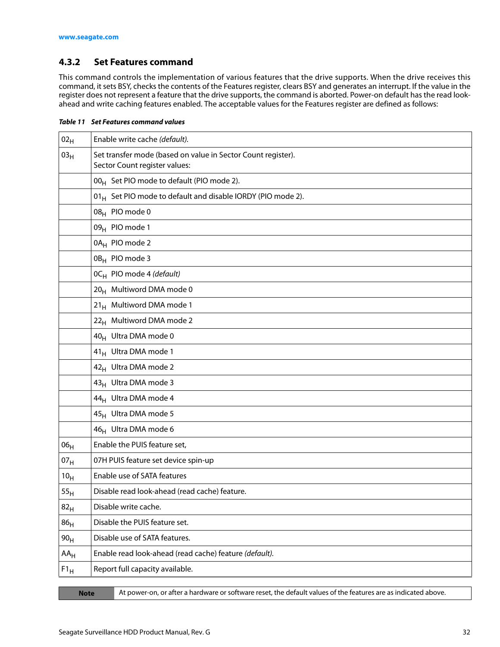#### <span id="page-32-0"></span>**4.3.2 Set Features command**

This command controls the implementation of various features that the drive supports. When the drive receives this command, it sets BSY, checks the contents of the Features register, clears BSY and generates an interrupt. If the value in the register does not represent a feature that the drive supports, the command is aborted. Power-on default has the read lookahead and write caching features enabled. The acceptable values for the Features register are defined as follows:

*Table 11 Set Features command values* 

| 02 <sub>H</sub> | Enable write cache (default).                                                                 |  |  |
|-----------------|-----------------------------------------------------------------------------------------------|--|--|
| 03 <sub>H</sub> | Set transfer mode (based on value in Sector Count register).<br>Sector Count register values: |  |  |
|                 | 00 <sub>H</sub> Set PIO mode to default (PIO mode 2).                                         |  |  |
|                 | 01 <sub>H</sub> Set PIO mode to default and disable IORDY (PIO mode 2).                       |  |  |
|                 | 08 <sub>H</sub> PIO mode 0                                                                    |  |  |
|                 | 09 <sub>H</sub> PIO mode 1                                                                    |  |  |
|                 | 0A <sub>H</sub> PIO mode 2                                                                    |  |  |
|                 | 0B <sub>H</sub> PIO mode 3                                                                    |  |  |
|                 | OC <sub>H</sub> PIO mode 4 (default)                                                          |  |  |
|                 | 20 <sub>H</sub> Multiword DMA mode 0                                                          |  |  |
|                 | 21 <sub>H</sub> Multiword DMA mode 1                                                          |  |  |
|                 | 22 <sub>H</sub> Multiword DMA mode 2                                                          |  |  |
|                 | 40 <sub>H</sub> Ultra DMA mode 0                                                              |  |  |
|                 | 41 <sub>H</sub> Ultra DMA mode 1                                                              |  |  |
|                 | 42 <sub>H</sub> Ultra DMA mode 2                                                              |  |  |
|                 | 43 <sub>H</sub> Ultra DMA mode 3                                                              |  |  |
|                 | 44 <sub>H</sub> Ultra DMA mode 4                                                              |  |  |
|                 | 45 <sub>H</sub> Ultra DMA mode 5                                                              |  |  |
|                 | 46 <sub>H</sub> Ultra DMA mode 6                                                              |  |  |
| 06 <sub>H</sub> | Enable the PUIS feature set,                                                                  |  |  |
| 07 <sub>H</sub> | 07H PUIS feature set device spin-up                                                           |  |  |
| 10 <sub>H</sub> | Enable use of SATA features                                                                   |  |  |
| 55 <sub>H</sub> | Disable read look-ahead (read cache) feature.                                                 |  |  |
| 82 <sub>H</sub> | Disable write cache.                                                                          |  |  |
| 86 <sub>H</sub> | Disable the PUIS feature set.                                                                 |  |  |
| 90 <sub>H</sub> | Disable use of SATA features.                                                                 |  |  |
| $AA_H$          | Enable read look-ahead (read cache) feature (default).                                        |  |  |
| $F1_H$          | Report full capacity available.                                                               |  |  |

| <b>STATE OF A STATE OF A STATE OF A STATE OF A STATE OF A STATE OF A STATE OF A STATE OF A STATE OF A STATE OF A</b><br><b>STATE OF STATE OF STATE OF STATE OF STATE OF STATE OF STATE OF STATE OF STATE OF STATE OF STATE OF STATE OF S</b><br>and the state of the state of the state of the state of the state of the state of the state of the state of th<br><b>STATE OF STATE OF STATE OF STATE OF STATE OF STATE OF STATE OF STATE OF STATE OF STATE OF STATE OF STATE OF S</b> |                                                                                                                      |
|----------------------------------------------------------------------------------------------------------------------------------------------------------------------------------------------------------------------------------------------------------------------------------------------------------------------------------------------------------------------------------------------------------------------------------------------------------------------------------------|----------------------------------------------------------------------------------------------------------------------|
|                                                                                                                                                                                                                                                                                                                                                                                                                                                                                        | <b>STATE OF STATE OF STATE OF STATE OF STATE OF STATE OF STATE OF STATE OF STATE OF STATE OF STATE OF STATE OF S</b> |
|                                                                                                                                                                                                                                                                                                                                                                                                                                                                                        |                                                                                                                      |
| <b>STATE OF STATE OF STATE OF STATE OF STATE OF STATE OF STATE OF STATE OF STATE OF STATE OF STATE OF STATE OF S</b><br><b>STATE OF STATE OF STATE OF STATE OF STATE OF STATE OF STATE OF STATE OF STATE OF STATE OF STATE OF STATE OF S</b>                                                                                                                                                                                                                                           | -<br>-<br>-                                                                                                          |

At power-on, or after a hardware or software reset, the default values of the features are as indicated above.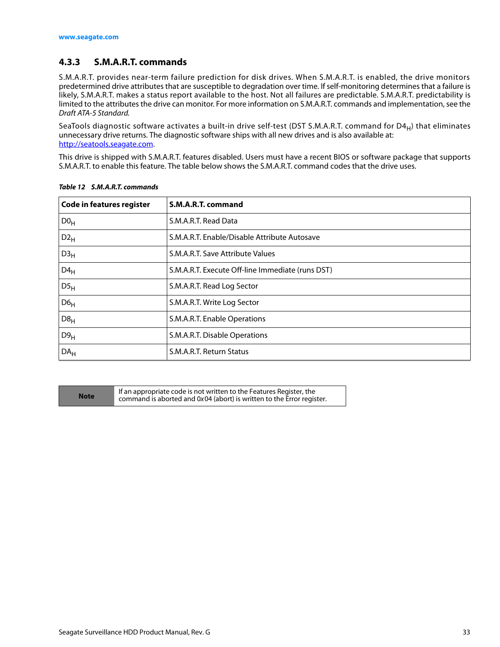#### <span id="page-33-0"></span>**4.3.3 S.M.A.R.T. commands**

S.M.A.R.T. provides near-term failure prediction for disk drives. When S.M.A.R.T. is enabled, the drive monitors predetermined drive attributes that are susceptible to degradation over time. If self-monitoring determines that a failure is likely, S.M.A.R.T. makes a status report available to the host. Not all failures are predictable. S.M.A.R.T. predictability is limited to the attributes the drive can monitor. For more information on S.M.A.R.T. commands and implementation, see the Draft ATA-5 Standard.

SeaTools diagnostic software activates a built-in drive self-test (DST S.M.A.R.T. command for D4 $_H$ ) that eliminates unnecessary drive returns. The diagnostic software ships with all new drives and is also available at: http://seatools.seagate.com.

This drive is shipped with S.M.A.R.T. features disabled. Users must have a recent BIOS or software package that supports S.M.A.R.T. to enable this feature. The table below shows the S.M.A.R.T. command codes that the drive uses.

| <b>Code in features register</b> | S.M.A.R.T. command                               |
|----------------------------------|--------------------------------------------------|
| D0 <sub>H</sub>                  | S.M.A.R.T. Read Data                             |
| $D2_{H}$                         | S.M.A.R.T. Enable/Disable Attribute Autosave     |
| D3 <sub>H</sub>                  | S.M.A.R.T. Save Attribute Values                 |
| $D4_H$                           | S.M.A.R.T. Execute Off-line Immediate (runs DST) |
| DS <sub>H</sub>                  | S.M.A.R.T. Read Log Sector                       |
| D6 <sub>H</sub>                  | S.M.A.R.T. Write Log Sector                      |
| D8 <sub>H</sub>                  | S.M.A.R.T. Enable Operations                     |
| D9 <sub>H</sub>                  | S.M.A.R.T. Disable Operations                    |
| DA <sub>H</sub>                  | S.M.A.R.T. Return Status                         |

*Table 12 S.M.A.R.T. commands*

**Note** If an appropriate code is not written to the Features Register, the<br>Command is aborted and 0x04 (abort) is written to the Error register command is aborted and 0x 04 (abort) is written to the Error register.